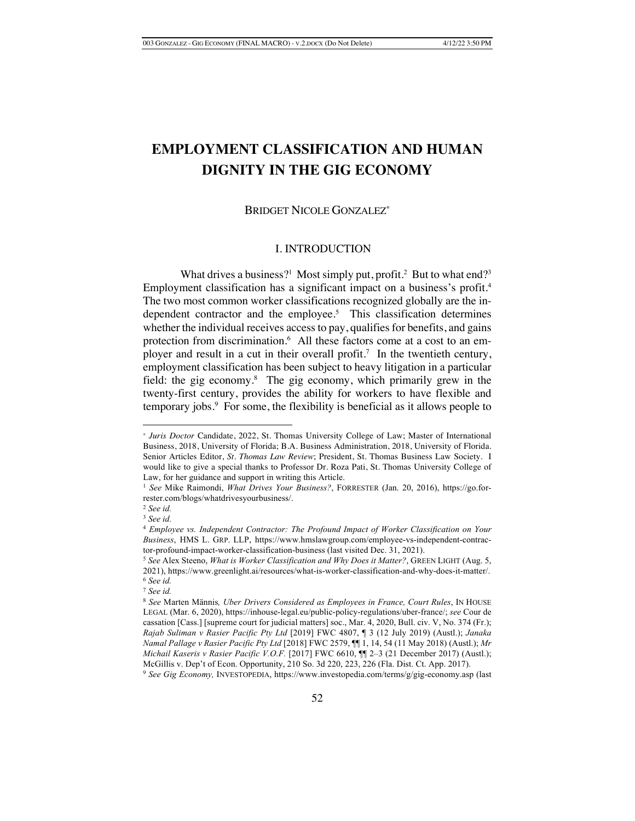# **EMPLOYMENT CLASSIFICATION AND HUMAN DIGNITY IN THE GIG ECONOMY**

## BRIDGET NICOLE GONZALEZ\*

### I. INTRODUCTION

What drives a business?<sup>1</sup> Most simply put, profit.<sup>2</sup> But to what end?<sup>3</sup> Employment classification has a significant impact on a business's profit.<sup>4</sup> The two most common worker classifications recognized globally are the independent contractor and the employee.<sup>5</sup> This classification determines whether the individual receives access to pay, qualifies for benefits, and gains protection from discrimination.<sup>6</sup> All these factors come at a cost to an employer and result in a cut in their overall profit.<sup>7</sup> In the twentieth century, employment classification has been subject to heavy litigation in a particular field: the gig economy.<sup>8</sup> The gig economy, which primarily grew in the twenty-first century, provides the ability for workers to have flexible and temporary jobs.9 For some, the flexibility is beneficial as it allows people to

<sup>\*</sup> *Juris Doctor* Candidate, 2022, St. Thomas University College of Law; Master of International Business, 2018, University of Florida; B.A. Business Administration, 2018, University of Florida. Senior Articles Editor, *St. Thomas Law Review*; President, St. Thomas Business Law Society. I would like to give a special thanks to Professor Dr. Roza Pati, St. Thomas University College of Law, for her guidance and support in writing this Article.

<sup>1</sup> *See* Mike Raimondi, *What Drives Your Business?*, FORRESTER (Jan. 20, 2016), https://go.forrester.com/blogs/whatdrivesyourbusiness/.

<sup>2</sup> *See id.* 

<sup>3</sup> *See id.* 

<sup>4</sup> *Employee vs. Independent Contractor: The Profound Impact of Worker Classification on Your Business*, HMS L. GRP. LLP, https://www.hmslawgroup.com/employee-vs-independent-contractor-profound-impact-worker-classification-business (last visited Dec. 31, 2021).

<sup>5</sup> *See* Alex Steeno, *What is Worker Classification and Why Does it Matter?*, GREEN LIGHT (Aug. 5, 2021), https://www.greenlight.ai/resources/what-is-worker-classification-and-why-does-it-matter/. <sup>6</sup> *See id.*

<sup>7</sup> *See id.*

<sup>8</sup> *See* Marten Männis*, Uber Drivers Considered as Employees in France, Court Rules*, IN HOUSE LEGAL (Mar. 6, 2020), https://inhouse-legal.eu/public-policy-regulations/uber-france/; *see* Cour de cassation [Cass.] [supreme court for judicial matters] soc., Mar. 4, 2020, Bull. civ. V, No. 374 (Fr.); *Rajab Suliman v Rasier Pacific Pty Ltd* [2019] FWC 4807, ¶ 3 (12 July 2019) (Austl.); *Janaka Namal Pallage v Rasier Pacific Pty Ltd* [2018] FWC 2579, ¶¶ 1, 14, 54 (11 May 2018) (Austl.); *Mr Michail Kaseris v Rasier Pacific V.O.F.* [2017] FWC 6610, ¶¶ 2–3 (21 December 2017) (Austl.); McGillis v. Dep't of Econ. Opportunity, 210 So. 3d 220, 223, 226 (Fla. Dist. Ct. App. 2017). 9 *See Gig Economy,* INVESTOPEDIA, https://www.investopedia.com/terms/g/gig-economy.asp (last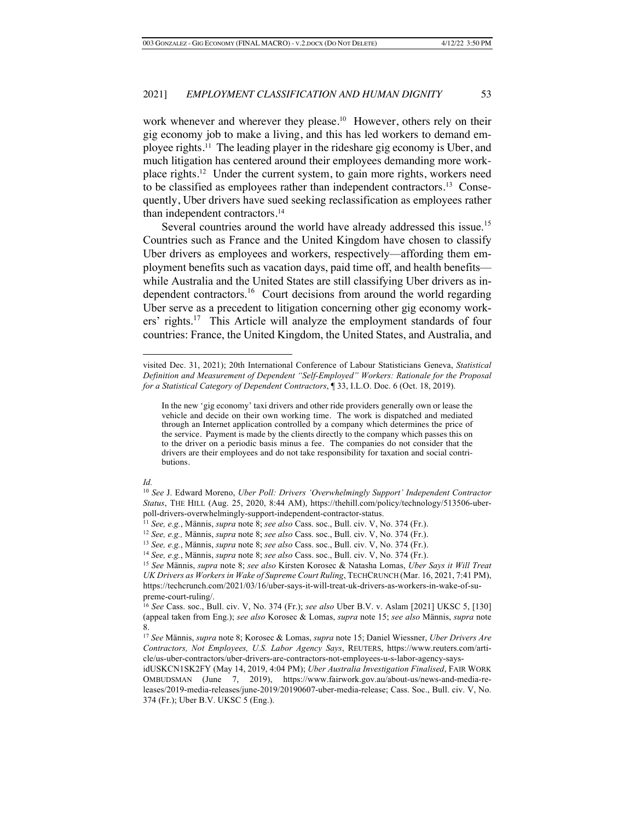work whenever and wherever they please.<sup>10</sup> However, others rely on their gig economy job to make a living, and this has led workers to demand employee rights.11 The leading player in the rideshare gig economy is Uber, and much litigation has centered around their employees demanding more workplace rights.12 Under the current system, to gain more rights, workers need to be classified as employees rather than independent contractors.13 Consequently, Uber drivers have sued seeking reclassification as employees rather than independent contractors.14

Several countries around the world have already addressed this issue.<sup>15</sup> Countries such as France and the United Kingdom have chosen to classify Uber drivers as employees and workers, respectively—affording them employment benefits such as vacation days, paid time off, and health benefits while Australia and the United States are still classifying Uber drivers as independent contractors.16 Court decisions from around the world regarding Uber serve as a precedent to litigation concerning other gig economy work $ers'$  rights.<sup>17</sup> This Article will analyze the employment standards of four countries: France, the United Kingdom, the United States, and Australia, and

#### *Id.*

visited Dec. 31, 2021); 20th International Conference of Labour Statisticians Geneva, *Statistical Definition and Measurement of Dependent "Self-Employed" Workers: Rationale for the Proposal for a Statistical Category of Dependent Contractors*, ¶ 33, I.L.O. Doc. 6 (Oct. 18, 2019).

In the new 'gig economy' taxi drivers and other ride providers generally own or lease the vehicle and decide on their own working time. The work is dispatched and mediated through an Internet application controlled by a company which determines the price of the service. Payment is made by the clients directly to the company which passes this on to the driver on a periodic basis minus a fee. The companies do not consider that the drivers are their employees and do not take responsibility for taxation and social contributions.

<sup>10</sup> *See* J. Edward Moreno, *Uber Poll: Drivers 'Overwhelmingly Support' Independent Contractor Status*, THE HILL (Aug. 25, 2020, 8:44 AM), https://thehill.com/policy/technology/513506-uberpoll-drivers-overwhelmingly-support-independent-contractor-status.

<sup>11</sup> *See, e.g.*, Männis, *supra* note 8; *see also* Cass. soc., Bull. civ. V, No. 374 (Fr.).

<sup>12</sup> *See, e.g.,* Männis, *supra* note 8; *see also* Cass. soc., Bull. civ. V, No. 374 (Fr.).

<sup>13</sup> *See, e.g.*, Männis, *supra* note 8; *see also* Cass. soc., Bull. civ. V, No. 374 (Fr.).

<sup>14</sup> *See, e.g.*, Männis, *supra* note 8; *see also* Cass. soc., Bull. civ. V, No. 374 (Fr.).

<sup>15</sup> *See* Männis, *supra* note 8; *see also* Kirsten Korosec & Natasha Lomas, *Uber Says it Will Treat UK Drivers as Workers in Wake of Supreme Court Ruling*, TECHCRUNCH (Mar. 16, 2021, 7:41 PM), https://techcrunch.com/2021/03/16/uber-says-it-will-treat-uk-drivers-as-workers-in-wake-of-supreme-court-ruling/.

<sup>16</sup> *See* Cass. soc., Bull. civ. V, No. 374 (Fr.); *see also* Uber B.V. v. Aslam [2021] UKSC 5, [130] (appeal taken from Eng.); *see also* Korosec & Lomas, *supra* note 15; *see also* Männis, *supra* note 8.

<sup>17</sup> *See* Männis, *supra* note 8; Korosec & Lomas, *supra* note 15; Daniel Wiessner, *Uber Drivers Are Contractors, Not Employees, U.S. Labor Agency Says*, REUTERS, https://www.reuters.com/article/us-uber-contractors/uber-drivers-are-contractors-not-employees-u-s-labor-agency-says-

idUSKCN1SK2FY (May 14, 2019, 4:04 PM); *Uber Australia Investigation Finalised*, FAIR WORK OMBUDSMAN (June 7, 2019), https://www.fairwork.gov.au/about-us/news-and-media-releases/2019-media-releases/june-2019/20190607-uber-media-release; Cass. Soc., Bull. civ. V, No. 374 (Fr.); Uber B.V. UKSC 5 (Eng.).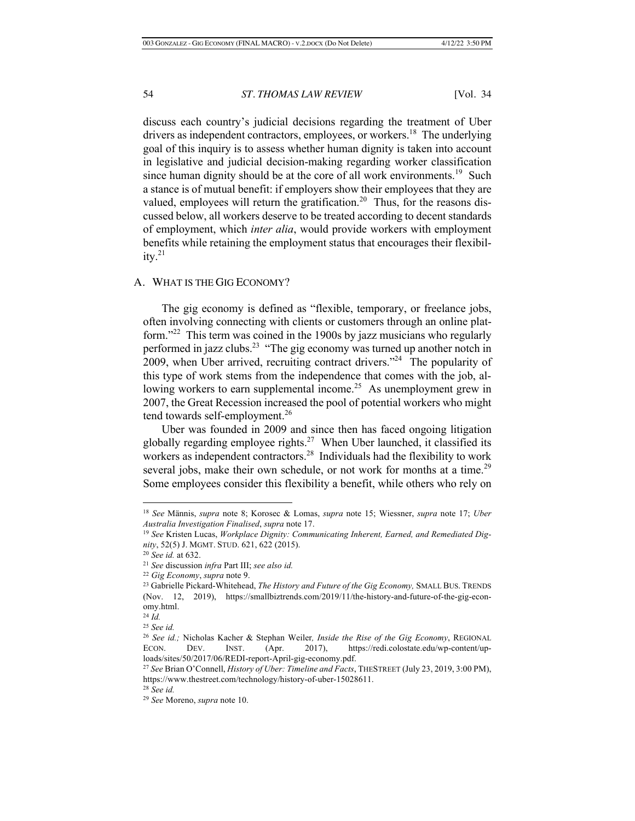discuss each country's judicial decisions regarding the treatment of Uber drivers as independent contractors, employees, or workers.<sup>18</sup> The underlying goal of this inquiry is to assess whether human dignity is taken into account in legislative and judicial decision-making regarding worker classification since human dignity should be at the core of all work environments.<sup>19</sup> Such a stance is of mutual benefit: if employers show their employees that they are valued, employees will return the gratification.<sup>20</sup> Thus, for the reasons discussed below, all workers deserve to be treated according to decent standards of employment, which *inter alia*, would provide workers with employment benefits while retaining the employment status that encourages their flexibility. $^{21}$ 

## A. WHAT IS THE GIG ECONOMY?

The gig economy is defined as "flexible, temporary, or freelance jobs, often involving connecting with clients or customers through an online platform."<sup>22</sup> This term was coined in the 1900s by jazz musicians who regularly performed in jazz clubs.<sup>23</sup> "The gig economy was turned up another notch in 2009, when Uber arrived, recruiting contract drivers."24 The popularity of this type of work stems from the independence that comes with the job, allowing workers to earn supplemental income.<sup>25</sup> As unemployment grew in 2007, the Great Recession increased the pool of potential workers who might tend towards self-employment.<sup>26</sup>

Uber was founded in 2009 and since then has faced ongoing litigation globally regarding employee rights.<sup>27</sup> When Uber launched, it classified its workers as independent contractors.<sup>28</sup> Individuals had the flexibility to work several jobs, make their own schedule, or not work for months at a time.<sup>29</sup> Some employees consider this flexibility a benefit, while others who rely on

<sup>18</sup> *See* Männis, *supra* note 8; Korosec & Lomas, *supra* note 15; Wiessner, *supra* note 17; *Uber Australia Investigation Finalised*, *supra* note 17.

<sup>19</sup> *See* Kristen Lucas, *Workplace Dignity: Communicating Inherent, Earned, and Remediated Dignity*, 52(5) J. MGMT. STUD. 621, 622 (2015). 20 *See id.* at 632.

<sup>21</sup> *See* discussion *infra* Part III; *see also id.*

<sup>&</sup>lt;sup>23</sup> Gabrielle Pickard-Whitehead, *The History and Future of the Gig Economy*, SMALL BUS. TRENDS (Nov. 12, 2019), https://smallbiztrends.com/2019/11/the-history-and-future-of-the-gig-economy.html.<br><sup>24</sup> *Id*.

<sup>24</sup> *Id.* 25 *See id.*

<sup>26</sup> *See id.;* Nicholas Kacher & Stephan Weiler*, Inside the Rise of the Gig Economy*, REGIONAL ECON. DEV. INST. (Apr. 2017), https://redi.colostate.edu/wp-content/uploads/sites/50/2017/06/REDI-report-April-gig-economy.pdf.

<sup>27</sup> *See* Brian O'Connell, *History of Uber: Timeline and Facts*, THESTREET (July 23, 2019, 3:00 PM), https://www.thestreet.com/technology/history-of-uber-15028611. 28 *See id.*

<sup>29</sup> *See* Moreno, *supra* note 10.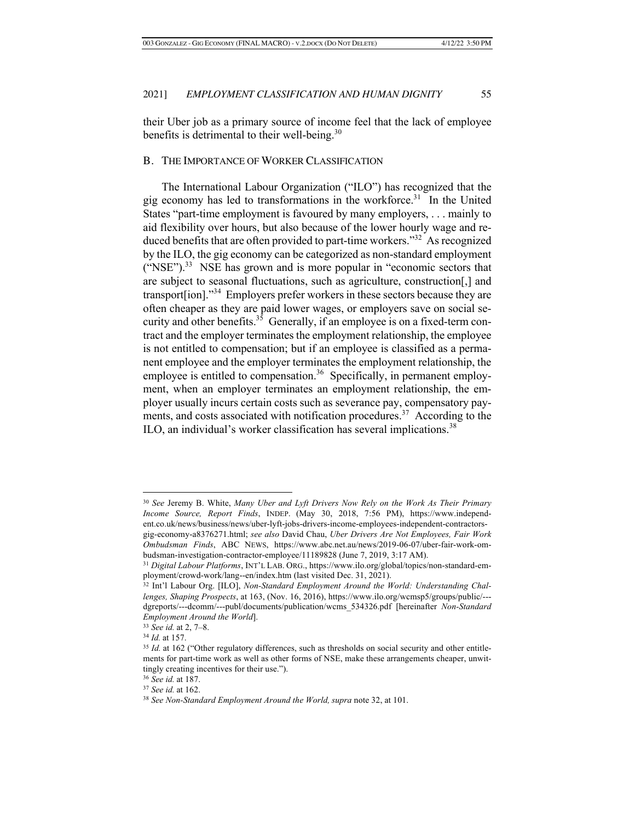their Uber job as a primary source of income feel that the lack of employee benefits is detrimental to their well-being.<sup>30</sup>

#### B. THE IMPORTANCE OF WORKER CLASSIFICATION

The International Labour Organization ("ILO") has recognized that the gig economy has led to transformations in the workforce.<sup>31</sup> In the United States "part-time employment is favoured by many employers, . . . mainly to aid flexibility over hours, but also because of the lower hourly wage and reduced benefits that are often provided to part-time workers."32 As recognized by the ILO, the gig economy can be categorized as non-standard employment  $("NSE")$ .<sup>33</sup> NSE has grown and is more popular in "economic sectors that are subject to seasonal fluctuations, such as agriculture, construction[,] and transport[ion]."34 Employers prefer workers in these sectors because they are often cheaper as they are paid lower wages, or employers save on social security and other benefits.<sup>35</sup> Generally, if an employee is on a fixed-term contract and the employer terminates the employment relationship, the employee is not entitled to compensation; but if an employee is classified as a permanent employee and the employer terminates the employment relationship, the employee is entitled to compensation.<sup>36</sup> Specifically, in permanent employment, when an employer terminates an employment relationship, the employer usually incurs certain costs such as severance pay, compensatory payments, and costs associated with notification procedures.<sup>37</sup> According to the ILO, an individual's worker classification has several implications.<sup>38</sup>

<sup>30</sup> *See* Jeremy B. White, *Many Uber and Lyft Drivers Now Rely on the Work As Their Primary Income Source, Report Finds*, INDEP. (May 30, 2018, 7:56 PM), https://www.independent.co.uk/news/business/news/uber-lyft-jobs-drivers-income-employees-independent-contractorsgig-economy-a8376271.html; *see also* David Chau, *Uber Drivers Are Not Employees, Fair Work Ombudsman Finds*, ABC NEWS, https://www.abc.net.au/news/2019-06-07/uber-fair-work-ombudsman-investigation-contractor-employee/11189828 (June 7, 2019, 3:17 AM). 31 *Digital Labour Platforms*, INT'L LAB. ORG., https://www.ilo.org/global/topics/non-standard-em-

ployment/crowd-work/lang--en/index.htm (last visited Dec. 31, 2021).

<sup>32</sup> Int'l Labour Org. [ILO], *Non-Standard Employment Around the World: Understanding Challenges, Shaping Prospects*, at 163, (Nov. 16, 2016), https://www.ilo.org/wcmsp5/groups/public/-- dgreports/---dcomm/---publ/documents/publication/wcms\_534326.pdf [hereinafter *Non-Standard Employment Around the World*].

<sup>33</sup> *See id.* at 2, 7–8.

<sup>&</sup>lt;sup>35</sup> *Id.* at 162 ("Other regulatory differences, such as thresholds on social security and other entitlements for part-time work as well as other forms of NSE, make these arrangements cheaper, unwittingly creating incentives for their use.").

<sup>36</sup> *See id.* at 187. 37 *See id.* at 162.

<sup>38</sup> *See Non-Standard Employment Around the World, supra* note 32, at 101.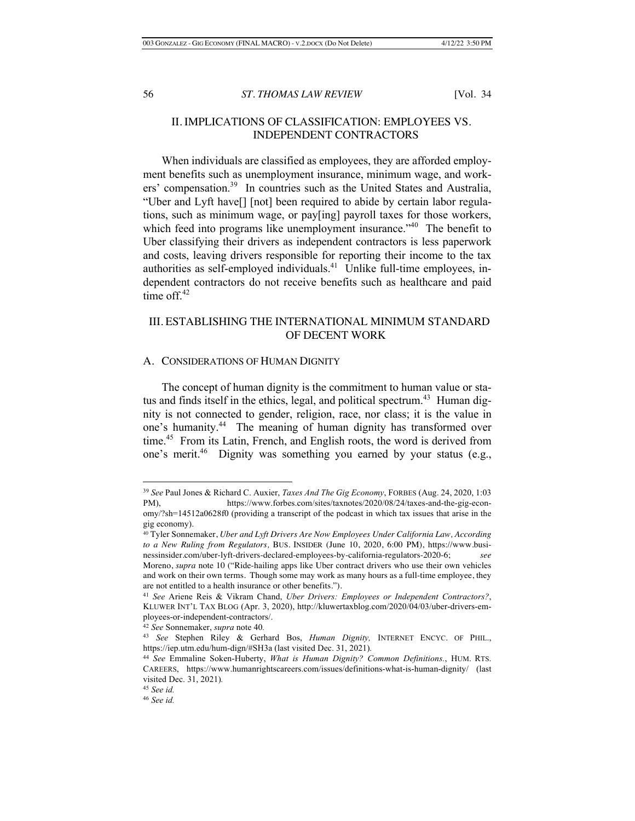## II. IMPLICATIONS OF CLASSIFICATION: EMPLOYEES VS. INDEPENDENT CONTRACTORS

When individuals are classified as employees, they are afforded employment benefits such as unemployment insurance, minimum wage, and workers' compensation.39 In countries such as the United States and Australia, "Uber and Lyft have[] [not] been required to abide by certain labor regulations, such as minimum wage, or pay[ing] payroll taxes for those workers, which feed into programs like unemployment insurance."<sup>40</sup> The benefit to Uber classifying their drivers as independent contractors is less paperwork and costs, leaving drivers responsible for reporting their income to the tax authorities as self-employed individuals.<sup>41</sup> Unlike full-time employees, independent contractors do not receive benefits such as healthcare and paid time off. $42$ 

## III. ESTABLISHING THE INTERNATIONAL MINIMUM STANDARD OF DECENT WORK

#### A. CONSIDERATIONS OF HUMAN DIGNITY

The concept of human dignity is the commitment to human value or status and finds itself in the ethics, legal, and political spectrum.<sup>43</sup> Human dignity is not connected to gender, religion, race, nor class; it is the value in one's humanity.<sup>44</sup> The meaning of human dignity has transformed over time.<sup>45</sup> From its Latin, French, and English roots, the word is derived from one's merit.<sup>46</sup> Dignity was something you earned by your status (e.g.,

<sup>39</sup> *See* Paul Jones & Richard C. Auxier, *Taxes And The Gig Economy*, FORBES (Aug. 24, 2020, 1:03 PM), https://www.forbes.com/sites/taxnotes/2020/08/24/taxes-and-the-gig-economy/?sh=14512a0628f0 (providing a transcript of the podcast in which tax issues that arise in the gig economy).

<sup>40</sup> Tyler Sonnemaker, *Uber and Lyft Drivers Are Now Employees Under California Law, According to a New Ruling from Regulators,* BUS. INSIDER (June 10, 2020, 6:00 PM), https://www.businessinsider.com/uber-lyft-drivers-declared-employees-by-california-regulators-2020-6; *see*  Moreno, *supra* note 10 ("Ride-hailing apps like Uber contract drivers who use their own vehicles

and work on their own terms. Though some may work as many hours as a full-time employee, they are not entitled to a health insurance or other benefits.").

<sup>41</sup> *See* Ariene Reis & Vikram Chand, *Uber Drivers: Employees or Independent Contractors?*, KLUWER INT'L TAX BLOG (Apr. 3, 2020), http://kluwertaxblog.com/2020/04/03/uber-drivers-employees-or-independent-contractors/.

<sup>42</sup> *See* Sonnemaker, *supra* note 40*.*

<sup>43</sup> *See* Stephen Riley & Gerhard Bos, *Human Dignity,* INTERNET ENCYC. OF PHIL., https://iep.utm.edu/hum-dign/#SH3a (last visited Dec. 31, 2021)*.*

<sup>44</sup> *See* Emmaline Soken-Huberty, *What is Human Dignity? Common Definitions.*, HUM. RTS. CAREERS, https://www.humanrightscareers.com/issues/definitions-what-is-human-dignity/ (last visited Dec. 31, 2021)*.* 

<sup>45</sup> *See id.* 

<sup>46</sup> *See id.*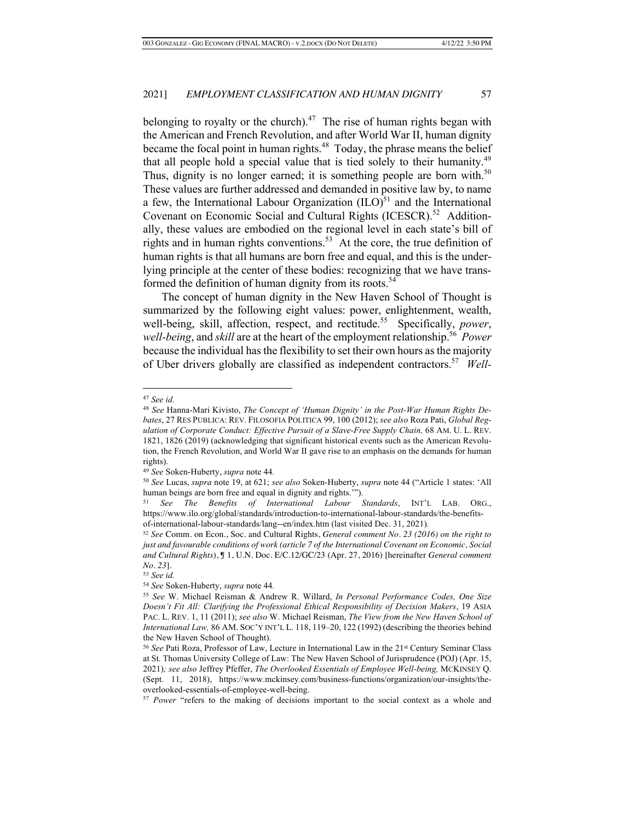belonging to royalty or the church).<sup>47</sup> The rise of human rights began with the American and French Revolution, and after World War II, human dignity became the focal point in human rights.<sup>48</sup> Today, the phrase means the belief that all people hold a special value that is tied solely to their humanity.49 Thus, dignity is no longer earned; it is something people are born with.<sup>50</sup> These values are further addressed and demanded in positive law by, to name a few, the International Labour Organization  $(ILO)^{51}$  and the International Covenant on Economic Social and Cultural Rights (ICESCR).<sup>52</sup> Additionally, these values are embodied on the regional level in each state's bill of rights and in human rights conventions.<sup>53</sup> At the core, the true definition of human rights is that all humans are born free and equal, and this is the underlying principle at the center of these bodies: recognizing that we have transformed the definition of human dignity from its roots.<sup>54</sup>

The concept of human dignity in the New Haven School of Thought is summarized by the following eight values: power, enlightenment, wealth, well-being, skill, affection, respect, and rectitude.<sup>55</sup> Specifically, *power*, *well-being*, and *skill* are at the heart of the employment relationship.<sup>56</sup> *Power* because the individual has the flexibility to set their own hours as the majority of Uber drivers globally are classified as independent contractors.<sup>57</sup> Well-

<sup>47</sup> *See id.* 48 *See* Hanna-Mari Kivisto, *The Concept of 'Human Dignity' in the Post-War Human Rights Debates*, 27 RES PUBLICA: REV. FILOSOFIA POLITICA 99, 100 (2012); *see also* Roza Pati, *Global Regulation of Corporate Conduct: Effective Pursuit of a Slave-Free Supply Chain,* 68 AM. U. L. REV. 1821, 1826 (2019) (acknowledging that significant historical events such as the American Revolution, the French Revolution, and World War II gave rise to an emphasis on the demands for human rights).

<sup>49</sup> *See* Soken-Huberty, *supra* note 44*.* 

<sup>50</sup> *See* Lucas, *supra* note 19, at 621; *see also* Soken-Huberty, *supra* note 44 ("Article 1 states: 'All human beings are born free and equal in dignity and rights.'").

<sup>51</sup> *See The Benefits of International Labour Standards*, INT'L LAB. ORG., https://www.ilo.org/global/standards/introduction-to-international-labour-standards/the-benefitsof-international-labour-standards/lang--en/index.htm (last visited Dec. 31, 2021)*.*

<sup>52</sup> *See* Comm. on Econ., Soc. and Cultural Rights, *General comment No. 23 (2016) on the right to just and favourable conditions of work (article 7 of the International Covenant on Economic, Social and Cultural Rights*), ¶ 1, U.N. Doc. E/C.12/GC/23 (Apr. 27, 2016) [hereinafter *General comment No. 23*]*.*

<sup>53</sup> *See id.*

<sup>54</sup> *See* Soken-Huberty, *supra* note 44*.*

<sup>55</sup> *See* W. Michael Reisman & Andrew R. Willard, *In Personal Performance Codes, One Size Doesn't Fit All: Clarifying the Professional Ethical Responsibility of Decision Makers*, 19 ASIA PAC. L. REV. 1, 11 (2011); *see also* W. Michael Reisman, *The View from the New Haven School of International Law,* 86 AM. SOC'Y INT'L L. 118, 119–20, 122 (1992) (describing the theories behind the New Haven School of Thought).

<sup>56</sup> *See* Pati Roza, Professor of Law, Lecture in International Law in the 21st Century Seminar Class at St. Thomas University College of Law: The New Haven School of Jurisprudence (POJ) (Apr. 15, 2021)*; see also* Jeffrey Pfeffer, *The Overlooked Essentials of Employee Well-being,* MCKINSEY Q. (Sept. 11, 2018), https://www.mckinsey.com/business-functions/organization/our-insights/theoverlooked-essentials-of-employee-well-being.

<sup>57</sup> *Power* "refers to the making of decisions important to the social context as a whole and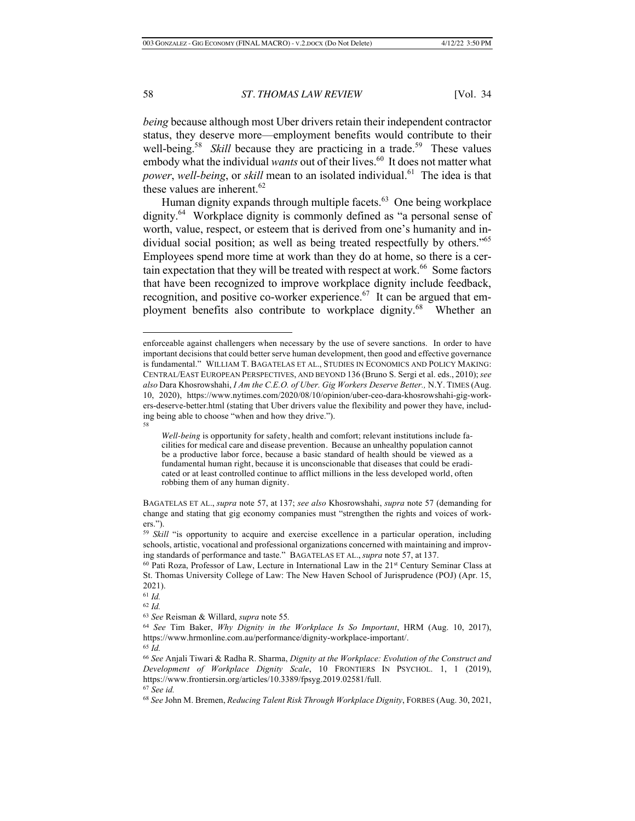*being* because although most Uber drivers retain their independent contractor status, they deserve more—employment benefits would contribute to their well-being.<sup>58</sup> *Skill* because they are practicing in a trade.<sup>59</sup> These values embody what the individual *wants* out of their lives.<sup>60</sup> It does not matter what *power*, *well-being*, or *skill* mean to an isolated individual.<sup>61</sup> The idea is that these values are inherent. 62

Human dignity expands through multiple facets. $63$  One being workplace dignity.64 Workplace dignity is commonly defined as "a personal sense of worth, value, respect, or esteem that is derived from one's humanity and individual social position; as well as being treated respectfully by others."<sup>65</sup> Employees spend more time at work than they do at home, so there is a certain expectation that they will be treated with respect at work. $66$  Some factors that have been recognized to improve workplace dignity include feedback, recognition, and positive co-worker experience.<sup>67</sup> It can be argued that employment benefits also contribute to workplace dignity.<sup>68</sup> Whether an

<sup>61</sup> *Id.*

<sup>62</sup> *Id.*

<sup>67</sup> *See id.*

enforceable against challengers when necessary by the use of severe sanctions. In order to have important decisions that could better serve human development, then good and effective governance is fundamental." WILLIAM T. BAGATELAS ET AL., STUDIES IN ECONOMICS AND POLICY MAKING: CENTRAL/EAST EUROPEAN PERSPECTIVES, AND BEYOND 136 (Bruno S. Sergi et al. eds., 2010);*see also* Dara Khosrowshahi, *I Am the C.E.O. of Uber. Gig Workers Deserve Better.,* N.Y. TIMES (Aug. 10, 2020), https://www.nytimes.com/2020/08/10/opinion/uber-ceo-dara-khosrowshahi-gig-workers-deserve-better.html (stating that Uber drivers value the flexibility and power they have, including being able to choose "when and how they drive."). 58

*Well-being* is opportunity for safety, health and comfort; relevant institutions include facilities for medical care and disease prevention. Because an unhealthy population cannot be a productive labor force, because a basic standard of health should be viewed as a fundamental human right, because it is unconscionable that diseases that could be eradicated or at least controlled continue to afflict millions in the less developed world, often robbing them of any human dignity.

BAGATELAS ET AL., *supra* note 57, at 137; *see also* Khosrowshahi, *supra* note 57 (demanding for change and stating that gig economy companies must "strengthen the rights and voices of workers.").

<sup>&</sup>lt;sup>59</sup> *Skill* "is opportunity to acquire and exercise excellence in a particular operation, including schools, artistic, vocational and professional organizations concerned with maintaining and improving standards of performance and taste." BAGATELAS ET AL., *supra* note 57, at 137.

<sup>60</sup> Pati Roza, Professor of Law, Lecture in International Law in the 21st Century Seminar Class at St. Thomas University College of Law: The New Haven School of Jurisprudence (POJ) (Apr. 15, 2021).

<sup>63</sup> *See* Reisman & Willard, *supra* note 55*.*

<sup>64</sup> *See* Tim Baker, *Why Dignity in the Workplace Is So Important*, HRM (Aug. 10, 2017), https://www.hrmonline.com.au/performance/dignity-workplace-important/. <sup>65</sup> *Id.*

<sup>66</sup> *See* Anjali Tiwari & Radha R. Sharma, *Dignity at the Workplace: Evolution of the Construct and Development of Workplace Dignity Scale*, 10 FRONTIERS IN PSYCHOL. 1, 1 (2019), https://www.frontiersin.org/articles/10.3389/fpsyg.2019.02581/full.

<sup>68</sup> *See* John M. Bremen, *Reducing Talent Risk Through Workplace Dignity*, FORBES (Aug. 30, 2021,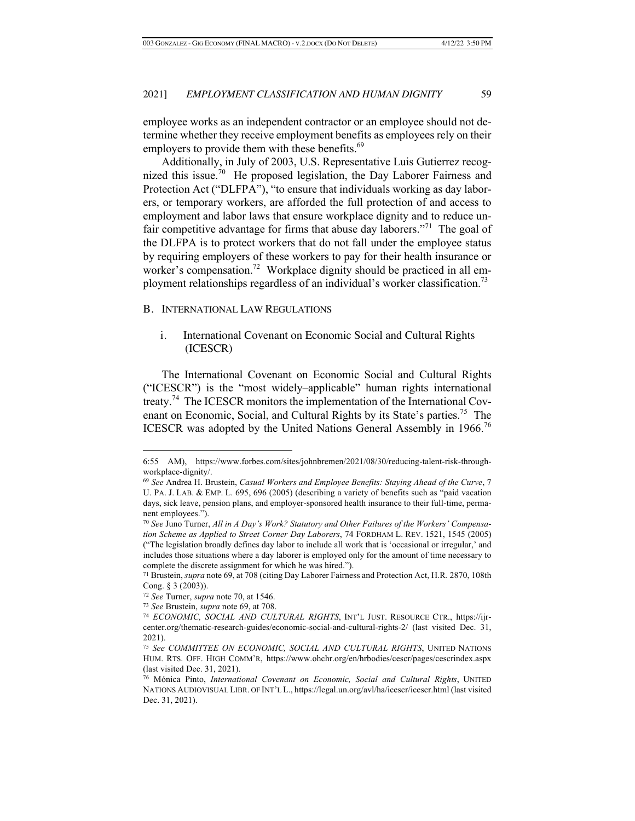employee works as an independent contractor or an employee should not determine whether they receive employment benefits as employees rely on their employers to provide them with these benefits.<sup>69</sup>

Additionally, in July of 2003, U.S. Representative Luis Gutierrez recognized this issue.<sup>70</sup> He proposed legislation, the Day Laborer Fairness and Protection Act ("DLFPA"), "to ensure that individuals working as day laborers, or temporary workers, are afforded the full protection of and access to employment and labor laws that ensure workplace dignity and to reduce unfair competitive advantage for firms that abuse day laborers."<sup>71</sup> The goal of the DLFPA is to protect workers that do not fall under the employee status by requiring employers of these workers to pay for their health insurance or worker's compensation.<sup>72</sup> Workplace dignity should be practiced in all employment relationships regardless of an individual's worker classification.<sup>73</sup>

## B. INTERNATIONAL LAW REGULATIONS

## i. International Covenant on Economic Social and Cultural Rights (ICESCR)

The International Covenant on Economic Social and Cultural Rights ("ICESCR") is the "most widely–applicable" human rights international treaty.<sup>74</sup> The ICESCR monitors the implementation of the International Covenant on Economic, Social, and Cultural Rights by its State's parties.<sup>75</sup> The ICESCR was adopted by the United Nations General Assembly in 1966.<sup>76</sup>

<sup>6:55</sup> AM), https://www.forbes.com/sites/johnbremen/2021/08/30/reducing-talent-risk-throughworkplace-dignity/.

<sup>69</sup> *See* Andrea H. Brustein, *Casual Workers and Employee Benefits: Staying Ahead of the Curve*, 7 U. PA. J. LAB. & EMP. L. 695, 696 (2005) (describing a variety of benefits such as "paid vacation days, sick leave, pension plans, and employer-sponsored health insurance to their full-time, permanent employees.").

<sup>70</sup> *See* Juno Turner, *All in A Day's Work? Statutory and Other Failures of the Workers' Compensation Scheme as Applied to Street Corner Day Laborers*, 74 FORDHAM L. REV. 1521, 1545 (2005) ("The legislation broadly defines day labor to include all work that is 'occasional or irregular,' and includes those situations where a day laborer is employed only for the amount of time necessary to complete the discrete assignment for which he was hired.").

<sup>71</sup> Brustein, *supra* note 69, at 708 (citing Day Laborer Fairness and Protection Act, H.R. 2870, 108th Cong. § 3 (2003)).

<sup>72</sup> *See* Turner, *supra* note 70, at 1546.

<sup>73</sup> *See* Brustein, *supra* note 69, at 708.

<sup>74</sup> *ECONOMIC, SOCIAL AND CULTURAL RIGHTS*, INT'L JUST. RESOURCE CTR., https://ijrcenter.org/thematic-research-guides/economic-social-and-cultural-rights-2/ (last visited Dec. 31, 2021).

<sup>75</sup> *See COMMITTEE ON ECONOMIC, SOCIAL AND CULTURAL RIGHTS*, UNITED NATIONS HUM. RTS. OFF. HIGH COMM'R, https://www.ohchr.org/en/hrbodies/cescr/pages/cescrindex.aspx (last visited Dec. 31, 2021).

<sup>76</sup> Mónica Pinto, *International Covenant on Economic, Social and Cultural Rights*, UNITED NATIONS AUDIOVISUAL LIBR. OF INT'L L., https://legal.un.org/avl/ha/icescr/icescr.html (last visited Dec. 31, 2021).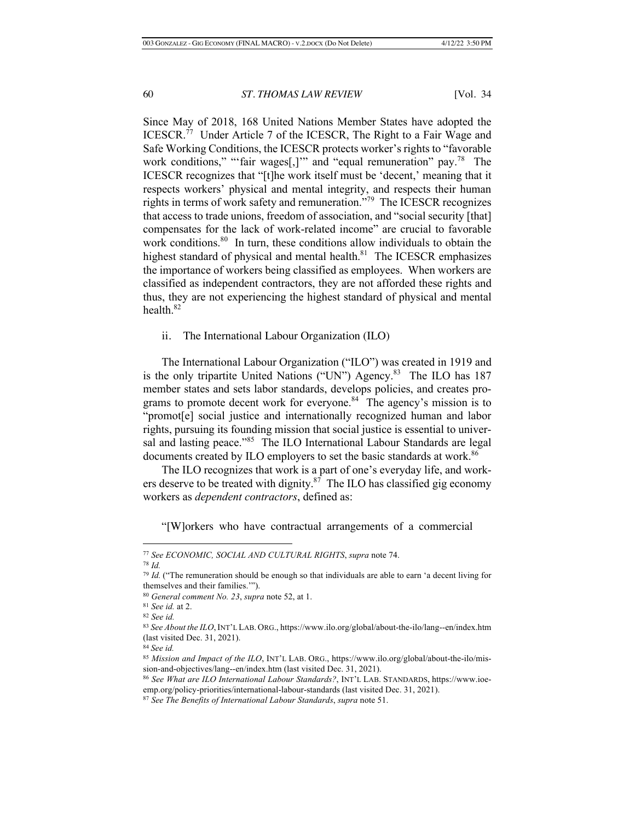Since May of 2018, 168 United Nations Member States have adopted the ICESCR.<sup>77</sup> Under Article 7 of the ICESCR, The Right to a Fair Wage and Safe Working Conditions, the ICESCR protects worker's rights to "favorable work conditions," "'fair wages[,]'" and "equal remuneration" pay.<sup>78</sup> The ICESCR recognizes that "[t]he work itself must be 'decent,' meaning that it respects workers' physical and mental integrity, and respects their human rights in terms of work safety and remuneration."79 The ICESCR recognizes that access to trade unions, freedom of association, and "social security [that] compensates for the lack of work-related income" are crucial to favorable work conditions.<sup>80</sup> In turn, these conditions allow individuals to obtain the highest standard of physical and mental health. $81$  The ICESCR emphasizes the importance of workers being classified as employees. When workers are classified as independent contractors, they are not afforded these rights and thus, they are not experiencing the highest standard of physical and mental health. $82$ 

ii. The International Labour Organization (ILO)

The International Labour Organization ("ILO") was created in 1919 and is the only tripartite United Nations ("UN") Agency.<sup>83</sup> The ILO has 187 member states and sets labor standards, develops policies, and creates programs to promote decent work for everyone. $84 \text{ T}$  The agency's mission is to "promot[e] social justice and internationally recognized human and labor rights, pursuing its founding mission that social justice is essential to universal and lasting peace."<sup>85</sup> The ILO International Labour Standards are legal documents created by ILO employers to set the basic standards at work.<sup>86</sup>

The ILO recognizes that work is a part of one's everyday life, and workers deserve to be treated with dignity. $87$  The ILO has classified gig economy workers as *dependent contractors*, defined as:

"[W]orkers who have contractual arrangements of a commercial

<sup>77</sup> *See ECONOMIC, SOCIAL AND CULTURAL RIGHTS*, *supra* note 74. 78 *Id.*

<sup>79</sup> *Id.* ("The remuneration should be enough so that individuals are able to earn 'a decent living for themselves and their families.'").

<sup>80</sup> *General comment No. 23*, *supra* note 52, at 1.

<sup>81</sup> *See id.* at 2.

<sup>82</sup> *See id.*

<sup>83</sup> *See About the ILO*,INT'L LAB. ORG., https://www.ilo.org/global/about-the-ilo/lang--en/index.htm (last visited Dec. 31, 2021).

<sup>84</sup> *See id.*

<sup>85</sup> *Mission and Impact of the ILO*, INT'L LAB. ORG., https://www.ilo.org/global/about-the-ilo/mission-and-objectives/lang--en/index.htm (last visited Dec. 31, 2021).

<sup>86</sup> *See What are ILO International Labour Standards?*, INT'L LAB. STANDARDS, https://www.ioeemp.org/policy-priorities/international-labour-standards (last visited Dec. 31, 2021).

<sup>87</sup> *See The Benefits of International Labour Standards*, *supra* note 51.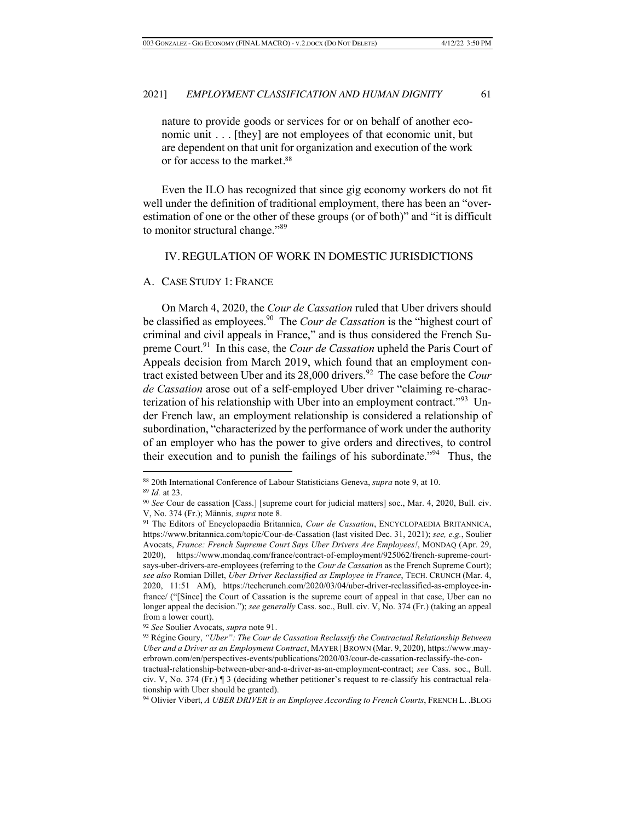nature to provide goods or services for or on behalf of another economic unit . . . [they] are not employees of that economic unit, but are dependent on that unit for organization and execution of the work or for access to the market.<sup>88</sup>

Even the ILO has recognized that since gig economy workers do not fit well under the definition of traditional employment, there has been an "overestimation of one or the other of these groups (or of both)" and "it is difficult to monitor structural change."<sup>89</sup>

## IV. REGULATION OF WORK IN DOMESTIC JURISDICTIONS

#### A. CASE STUDY 1: FRANCE

On March 4, 2020, the *Cour de Cassation* ruled that Uber drivers should be classified as employees.90 The *Cour de Cassation* is the "highest court of criminal and civil appeals in France," and is thus considered the French Supreme Court.91 In this case, the *Cour de Cassation* upheld the Paris Court of Appeals decision from March 2019, which found that an employment contract existed between Uber and its 28,000 drivers.<sup>92</sup> The case before the *Cour de Cassation* arose out of a self-employed Uber driver "claiming re-characterization of his relationship with Uber into an employment contract."<sup>93</sup> Under French law, an employment relationship is considered a relationship of subordination, "characterized by the performance of work under the authority of an employer who has the power to give orders and directives, to control their execution and to punish the failings of his subordinate."<sup>94</sup> Thus, the

<sup>88</sup> 20th International Conference of Labour Statisticians Geneva, *supra* note 9, at 10. 89 *Id.* at 23.

<sup>90</sup> *See* Cour de cassation [Cass.] [supreme court for judicial matters] soc., Mar. 4, 2020, Bull. civ. V, No. 374 (Fr.); Männis*, supra* note 8.

<sup>91</sup> The Editors of Encyclopaedia Britannica, *Cour de Cassation*, ENCYCLOPAEDIA BRITANNICA, https://www.britannica.com/topic/Cour-de-Cassation (last visited Dec. 31, 2021); *see, e.g.*, Soulier Avocats, *France: French Supreme Court Says Uber Drivers Are Employees!*, MONDAQ (Apr. 29, 2020), https://www.mondaq.com/france/contract-of-employment/925062/french-supreme-courtsays-uber-drivers-are-employees (referring to the *Cour de Cassation* as the French Supreme Court); *see also* Romian Dillet, *Uber Driver Reclassified as Employee in France*, TECH. CRUNCH (Mar. 4, 2020, 11:51 AM), https://techcrunch.com/2020/03/04/uber-driver-reclassified-as-employee-infrance/ ("[Since] the Court of Cassation is the supreme court of appeal in that case, Uber can no longer appeal the decision."); *see generally* Cass. soc., Bull. civ. V, No. 374 (Fr.) (taking an appeal from a lower court).

<sup>92</sup> *See* Soulier Avocats, *supra* note 91.

<sup>93</sup> Régine Goury, *"Uber": The Cour de Cassation Reclassify the Contractual Relationship Between Uber and a Driver as an Employment Contract*, MAYER | BROWN (Mar. 9, 2020), https://www.mayerbrown.com/en/perspectives-events/publications/2020/03/cour-de-cassation-reclassify-the-con-

tractual-relationship-between-uber-and-a-driver-as-an-employment-contract; *see* Cass. soc., Bull. civ. V, No. 374 (Fr.) ¶ 3 (deciding whether petitioner's request to re-classify his contractual relationship with Uber should be granted).

<sup>94</sup> Olivier Vibert, *A UBER DRIVER is an Employee According to French Courts*, FRENCH L. .BLOG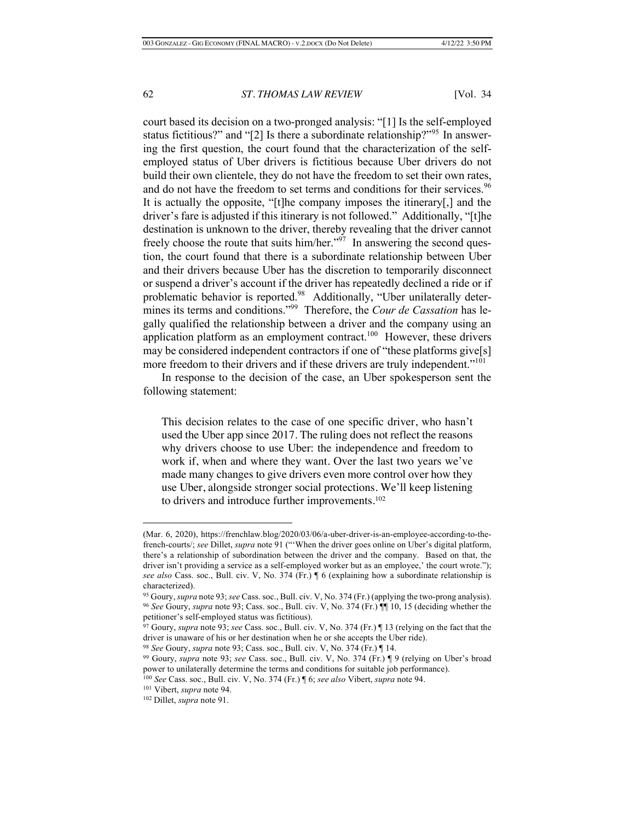court based its decision on a two-pronged analysis: "[1] Is the self-employed status fictitious?" and "[2] Is there a subordinate relationship?"<sup>95</sup> In answering the first question, the court found that the characterization of the selfemployed status of Uber drivers is fictitious because Uber drivers do not build their own clientele, they do not have the freedom to set their own rates, and do not have the freedom to set terms and conditions for their services.<sup>96</sup> It is actually the opposite, "[t]he company imposes the itinerary[,] and the driver's fare is adjusted if this itinerary is not followed." Additionally, "[t]he destination is unknown to the driver, thereby revealing that the driver cannot freely choose the route that suits him/her. $197$  In answering the second question, the court found that there is a subordinate relationship between Uber and their drivers because Uber has the discretion to temporarily disconnect or suspend a driver's account if the driver has repeatedly declined a ride or if problematic behavior is reported.<sup>98</sup> Additionally, "Uber unilaterally determines its terms and conditions."99 Therefore, the *Cour de Cassation* has legally qualified the relationship between a driver and the company using an application platform as an employment contract.<sup>100</sup> However, these drivers may be considered independent contractors if one of "these platforms give[s] more freedom to their drivers and if these drivers are truly independent."<sup>101</sup>

In response to the decision of the case, an Uber spokesperson sent the following statement:

This decision relates to the case of one specific driver, who hasn't used the Uber app since 2017. The ruling does not reflect the reasons why drivers choose to use Uber: the independence and freedom to work if, when and where they want. Over the last two years we've made many changes to give drivers even more control over how they use Uber, alongside stronger social protections. We'll keep listening to drivers and introduce further improvements.<sup>102</sup>

<sup>(</sup>Mar. 6, 2020), https://frenchlaw.blog/2020/03/06/a-uber-driver-is-an-employee-according-to-thefrench-courts/; *see* Dillet, *supra* note 91 ("'When the driver goes online on Uber's digital platform, there's a relationship of subordination between the driver and the company. Based on that, the driver isn't providing a service as a self-employed worker but as an employee,' the court wrote."); *see also* Cass. soc., Bull. civ. V, No. 374 (Fr.) ¶ 6 (explaining how a subordinate relationship is characterized).

<sup>95</sup> Goury, *supra* note 93; *see* Cass. soc., Bull. civ. V, No. 374 (Fr.) (applying the two-prong analysis). <sup>96</sup> *See* Goury, *supra* note 93; Cass. soc., Bull. civ. V, No. 374 (Fr.) ¶¶ 10, 15 (deciding whether the petitioner's self-employed status was fictitious).

<sup>97</sup> Goury, *supra* note 93; *see* Cass. soc., Bull. civ. V, No. 374 (Fr.) ¶ 13 (relying on the fact that the driver is unaware of his or her destination when he or she accepts the Uber ride).

<sup>98</sup> *See* Goury, *supra* note 93; Cass. soc., Bull. civ. V, No. 374 (Fr.) ¶ 14.

<sup>99</sup> Goury, *supra* note 93; *see* Cass. soc., Bull. civ. V, No. 374 (Fr.) ¶ 9 (relying on Uber's broad power to unilaterally determine the terms and conditions for suitable job performance). <sup>100</sup> *See* Cass. soc., Bull. civ. V, No. 374 (Fr.) ¶ 6; *see also* Vibert, *supra* note 94.

<sup>101</sup> Vibert, *supra* note 94. 102 Dillet, *supra* note 91.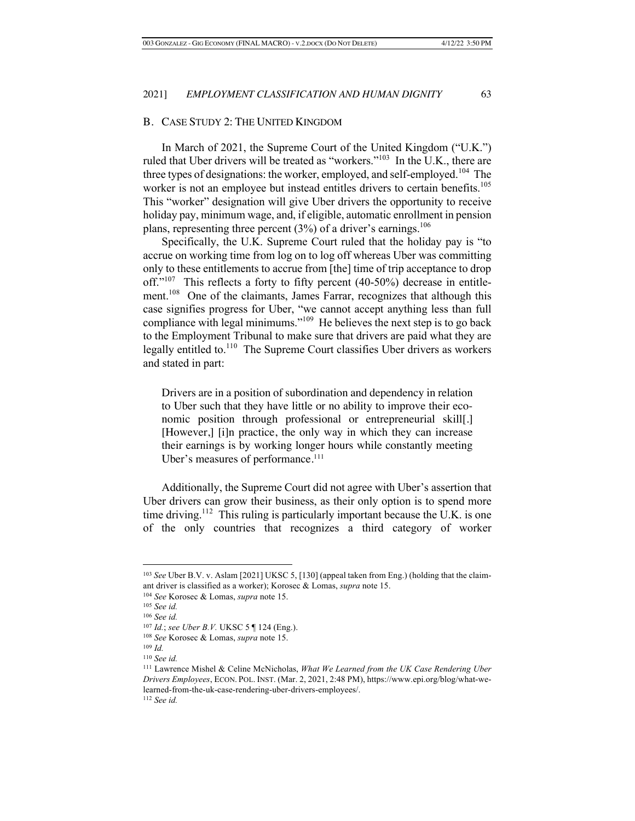## B. CASE STUDY 2: THE UNITED KINGDOM

In March of 2021, the Supreme Court of the United Kingdom ("U.K.") ruled that Uber drivers will be treated as "workers."103 In the U.K., there are three types of designations: the worker, employed, and self-employed.<sup>104</sup> The worker is not an employee but instead entitles drivers to certain benefits.<sup>105</sup> This "worker" designation will give Uber drivers the opportunity to receive holiday pay, minimum wage, and, if eligible, automatic enrollment in pension plans, representing three percent  $(3%)$  of a driver's earnings.<sup>106</sup>

Specifically, the U.K. Supreme Court ruled that the holiday pay is "to accrue on working time from log on to log off whereas Uber was committing only to these entitlements to accrue from [the] time of trip acceptance to drop off."<sup>107</sup> This reflects a forty to fifty percent (40-50%) decrease in entitlement.<sup>108</sup> One of the claimants, James Farrar, recognizes that although this case signifies progress for Uber, "we cannot accept anything less than full compliance with legal minimums."<sup>109</sup> He believes the next step is to go back to the Employment Tribunal to make sure that drivers are paid what they are legally entitled to.<sup>110</sup> The Supreme Court classifies Uber drivers as workers and stated in part:

Drivers are in a position of subordination and dependency in relation to Uber such that they have little or no ability to improve their economic position through professional or entrepreneurial skill[.] [However,] [i]n practice, the only way in which they can increase their earnings is by working longer hours while constantly meeting Uber's measures of performance.<sup>111</sup>

Additionally, the Supreme Court did not agree with Uber's assertion that Uber drivers can grow their business, as their only option is to spend more time driving.<sup>112</sup> This ruling is particularly important because the U.K. is one of the only countries that recognizes a third category of worker

<sup>112</sup> *See id.*

<sup>103</sup> *See* Uber B.V. v. Aslam [2021] UKSC 5, [130] (appeal taken from Eng.) (holding that the claimant driver is classified as a worker); Korosec & Lomas, *supra* note 15.

<sup>104</sup> *See* Korosec & Lomas, *supra* note 15.

<sup>105</sup> *See id.* 

<sup>106</sup> *See id.*

<sup>107</sup> *Id.*; *see Uber B.V.* UKSC 5 ¶ 124 (Eng.).

<sup>108</sup> *See* Korosec & Lomas, *supra* note 15.

<sup>109</sup> *Id.*

<sup>110</sup> *See id.*

<sup>111</sup> Lawrence Mishel & Celine McNicholas, *What We Learned from the UK Case Rendering Uber Drivers Employees*, ECON. POL. INST. (Mar. 2, 2021, 2:48 PM), https://www.epi.org/blog/what-welearned-from-the-uk-case-rendering-uber-drivers-employees/.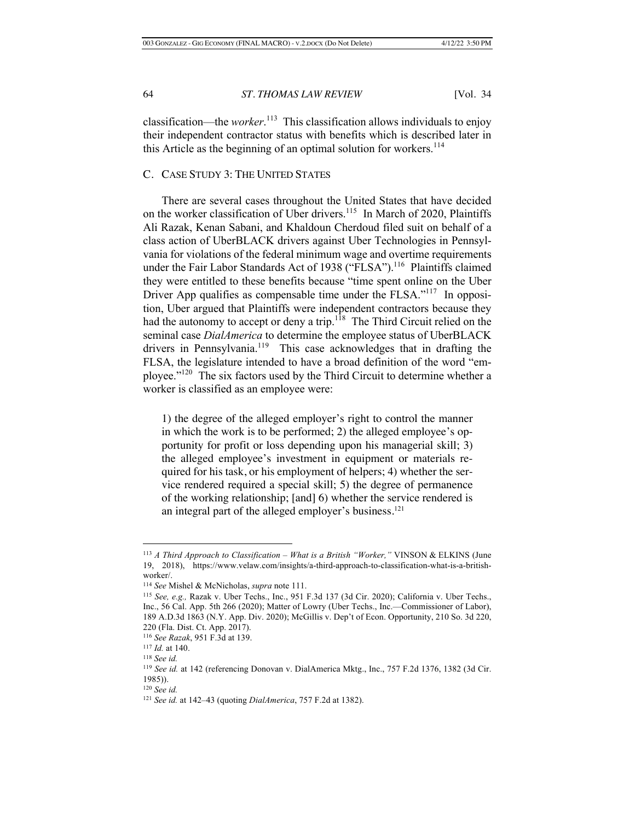classification—the *worker*. 113 This classification allows individuals to enjoy their independent contractor status with benefits which is described later in this Article as the beginning of an optimal solution for workers. $114$ 

## C. CASE STUDY 3: THE UNITED STATES

There are several cases throughout the United States that have decided on the worker classification of Uber drivers.<sup>115</sup> In March of 2020, Plaintiffs Ali Razak, Kenan Sabani, and Khaldoun Cherdoud filed suit on behalf of a class action of UberBLACK drivers against Uber Technologies in Pennsylvania for violations of the federal minimum wage and overtime requirements under the Fair Labor Standards Act of 1938 ("FLSA").<sup>116</sup> Plaintiffs claimed they were entitled to these benefits because "time spent online on the Uber Driver App qualifies as compensable time under the FLSA."<sup>117</sup> In opposition, Uber argued that Plaintiffs were independent contractors because they had the autonomy to accept or deny a trip.<sup>118</sup> The Third Circuit relied on the seminal case *DialAmerica* to determine the employee status of UberBLACK drivers in Pennsylvania.<sup>119</sup> This case acknowledges that in drafting the FLSA, the legislature intended to have a broad definition of the word "employee."120 The six factors used by the Third Circuit to determine whether a worker is classified as an employee were:

1) the degree of the alleged employer's right to control the manner in which the work is to be performed; 2) the alleged employee's opportunity for profit or loss depending upon his managerial skill; 3) the alleged employee's investment in equipment or materials required for his task, or his employment of helpers; 4) whether the service rendered required a special skill; 5) the degree of permanence of the working relationship; [and] 6) whether the service rendered is an integral part of the alleged employer's business.121

<sup>113</sup> *A Third Approach to Classification – What is a British "Worker,"* VINSON & ELKINS (June 19, 2018), https://www.velaw.com/insights/a-third-approach-to-classification-what-is-a-britishworker/.

<sup>114</sup> *See* Mishel & McNicholas, *supra* note 111.

<sup>115</sup> *See, e.g.,* Razak v. Uber Techs., Inc., 951 F.3d 137 (3d Cir. 2020); California v. Uber Techs., Inc., 56 Cal. App. 5th 266 (2020); Matter of Lowry (Uber Techs., Inc.—Commissioner of Labor), 189 A.D.3d 1863 (N.Y. App. Div. 2020); McGillis v. Dep't of Econ. Opportunity, 210 So. 3d 220, 220 (Fla. Dist. Ct. App. 2017).

<sup>116</sup> *See Razak*, 951 F.3d at 139. 117 *Id.* at 140.

<sup>118</sup> *See id.*

<sup>119</sup> *See id.* at 142 (referencing Donovan v. DialAmerica Mktg., Inc., 757 F.2d 1376, 1382 (3d Cir. 1985)).

<sup>120</sup> *See id.*

<sup>121</sup> *See id.* at 142–43 (quoting *DialAmerica*, 757 F.2d at 1382).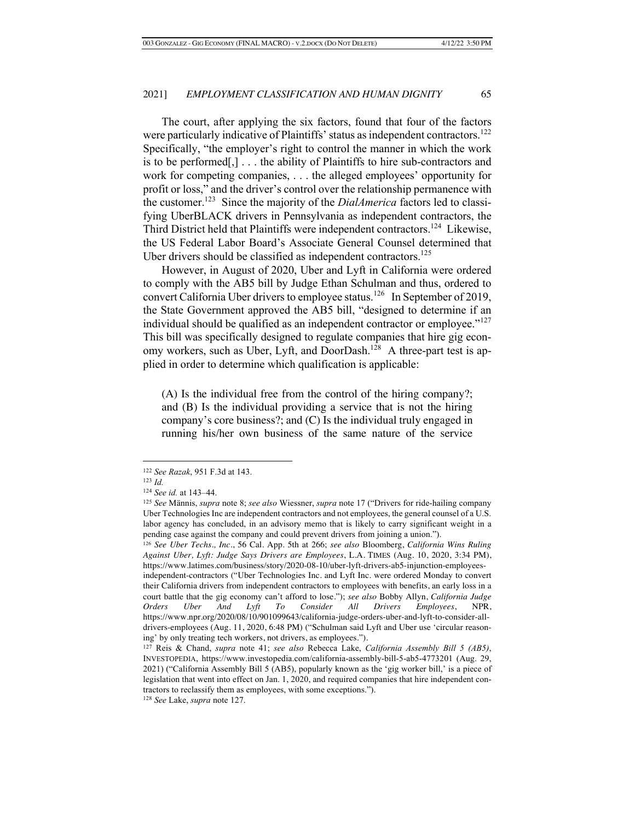The court, after applying the six factors, found that four of the factors were particularly indicative of Plaintiffs' status as independent contractors.<sup>122</sup> Specifically, "the employer's right to control the manner in which the work is to be performed[,] . . . the ability of Plaintiffs to hire sub-contractors and work for competing companies, . . . the alleged employees' opportunity for profit or loss," and the driver's control over the relationship permanence with the customer.123 Since the majority of the *DialAmerica* factors led to classifying UberBLACK drivers in Pennsylvania as independent contractors, the Third District held that Plaintiffs were independent contractors.124 Likewise, the US Federal Labor Board's Associate General Counsel determined that Uber drivers should be classified as independent contractors.<sup>125</sup>

However, in August of 2020, Uber and Lyft in California were ordered to comply with the AB5 bill by Judge Ethan Schulman and thus, ordered to convert California Uber drivers to employee status.126 In September of 2019, the State Government approved the AB5 bill, "designed to determine if an individual should be qualified as an independent contractor or employee."127 This bill was specifically designed to regulate companies that hire gig economy workers, such as Uber, Lyft, and DoorDash.<sup>128</sup> A three-part test is applied in order to determine which qualification is applicable:

(A) Is the individual free from the control of the hiring company?; and (B) Is the individual providing a service that is not the hiring company's core business?; and (C) Is the individual truly engaged in running his/her own business of the same nature of the service

<sup>122</sup> *See Razak*, 951 F.3d at 143.

<sup>123</sup> *Id.*

<sup>124</sup> *See id.* at 143–44.

<sup>125</sup> *See* Männis, *supra* note 8; *see also* Wiessner, *supra* note 17 ("Drivers for ride-hailing company Uber Technologies Inc are independent contractors and not employees, the general counsel of a U.S. labor agency has concluded, in an advisory memo that is likely to carry significant weight in a pending case against the company and could prevent drivers from joining a union.").

<sup>126</sup> *See Uber Techs., Inc.*, 56 Cal. App. 5th at 266; *see also* Bloomberg, *California Wins Ruling Against Uber, Lyft: Judge Says Drivers are Employees*, L.A. TIMES (Aug. 10, 2020, 3:34 PM), https://www.latimes.com/business/story/2020-08-10/uber-lyft-drivers-ab5-injunction-employees-

independent-contractors ("Uber Technologies Inc. and Lyft Inc. were ordered Monday to convert their California drivers from independent contractors to employees with benefits, an early loss in a court battle that the gig economy can't afford to lose."); *see also* Bobby Allyn, *California Judge Orders Uber And Lyft To Consider All Drivers Employees*, NPR, https://www.npr.org/2020/08/10/901099643/california-judge-orders-uber-and-lyft-to-consider-alldrivers-employees (Aug. 11, 2020, 6:48 PM) ("Schulman said Lyft and Uber use 'circular reasoning' by only treating tech workers, not drivers, as employees.").

<sup>127</sup> Reis & Chand, *supra* note 41; *see also* Rebecca Lake, *California Assembly Bill 5 (AB5)*, INVESTOPEDIA, https://www.investopedia.com/california-assembly-bill-5-ab5-4773201 (Aug. 29, 2021) ("California Assembly Bill 5 (AB5), popularly known as the 'gig worker bill,' is a piece of legislation that went into effect on Jan. 1, 2020, and required companies that hire independent contractors to reclassify them as employees, with some exceptions.").

<sup>128</sup> *See* Lake, *supra* note 127.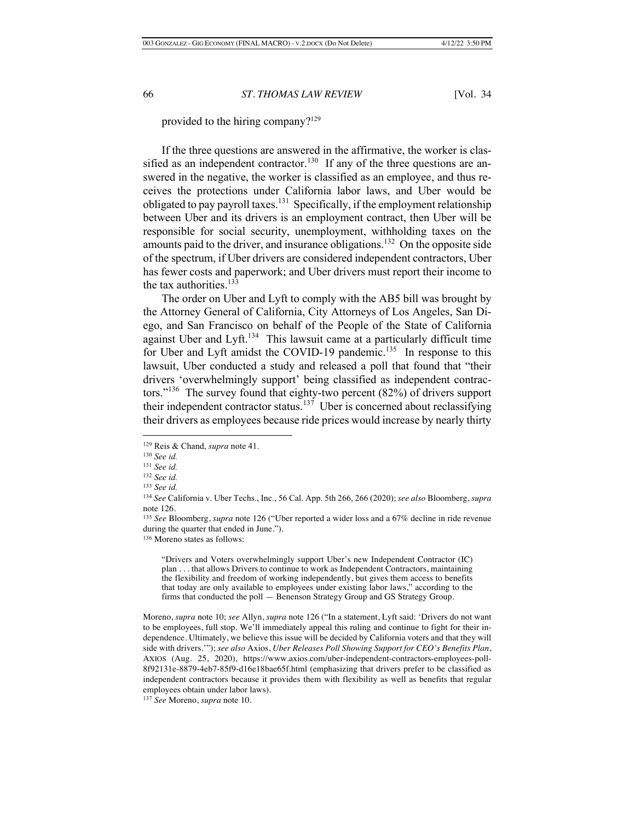provided to the hiring company?129

If the three questions are answered in the affirmative, the worker is classified as an independent contractor.<sup>130</sup> If any of the three questions are answered in the negative, the worker is classified as an employee, and thus receives the protections under California labor laws, and Uber would be obligated to pay payroll taxes.<sup>131</sup> Specifically, if the employment relationship between Uber and its drivers is an employment contract, then Uber will be responsible for social security, unemployment, withholding taxes on the amounts paid to the driver, and insurance obligations.<sup>132</sup> On the opposite side of the spectrum, if Uber drivers are considered independent contractors, Uber has fewer costs and paperwork; and Uber drivers must report their income to the tax authorities.<sup>133</sup>

The order on Uber and Lyft to comply with the AB5 bill was brought by the Attorney General of California, City Attorneys of Los Angeles, San Diego, and San Francisco on behalf of the People of the State of California against Uber and Lyft.<sup>134</sup> This lawsuit came at a particularly difficult time for Uber and Lyft amidst the COVID-19 pandemic.<sup>135</sup> In response to this lawsuit, Uber conducted a study and released a poll that found that "their drivers 'overwhelmingly support' being classified as independent contractors."<sup>136</sup> The survey found that eighty-two percent (82%) of drivers support their independent contractor status.<sup>137</sup> Uber is concerned about reclassifying their drivers as employees because ride prices would increase by nearly thirty

<sup>136</sup> Moreno states as follows:

"Drivers and Voters overwhelmingly support Uber's new Independent Contractor (IC) plan . . . that allows Drivers to continue to work as Independent Contractors, maintaining the flexibility and freedom of working independently, but gives them access to benefits that today are only available to employees under existing labor laws," according to the firms that conducted the poll — Benenson Strategy Group and GS Strategy Group.

Moreno, *supra* note 10; *see* Allyn, *supra* note 126 ("In a statement, Lyft said: 'Drivers do not want to be employees, full stop. We'll immediately appeal this ruling and continue to fight for their independence. Ultimately, we believe this issue will be decided by California voters and that they will side with drivers.'"); *see also* Axios, *Uber Releases Poll Showing Support for CEO's Benefits Plan*, AXIOS (Aug. 25, 2020), https://www.axios.com/uber-independent-contractors-employees-poll-8f92131e-8879-4eb7-85f9-d16e18bae65f.html (emphasizing that drivers prefer to be classified as independent contractors because it provides them with flexibility as well as benefits that regular employees obtain under labor laws).

<sup>129</sup> Reis & Chand, *supra* note 41. 130 *See id.* 

<sup>131</sup> *See id.* 

<sup>132</sup> *See id.* 

<sup>133</sup> *See id.* 

<sup>134</sup> *See* California v. Uber Techs., Inc., 56 Cal. App. 5th 266, 266 (2020); *see also* Bloomberg, *supra*  note 126.

<sup>135</sup> *See* Bloomberg, *supra* note 126 ("Uber reported a wider loss and a 67% decline in ride revenue during the quarter that ended in June.").

<sup>137</sup> *See* Moreno, *supra* note 10.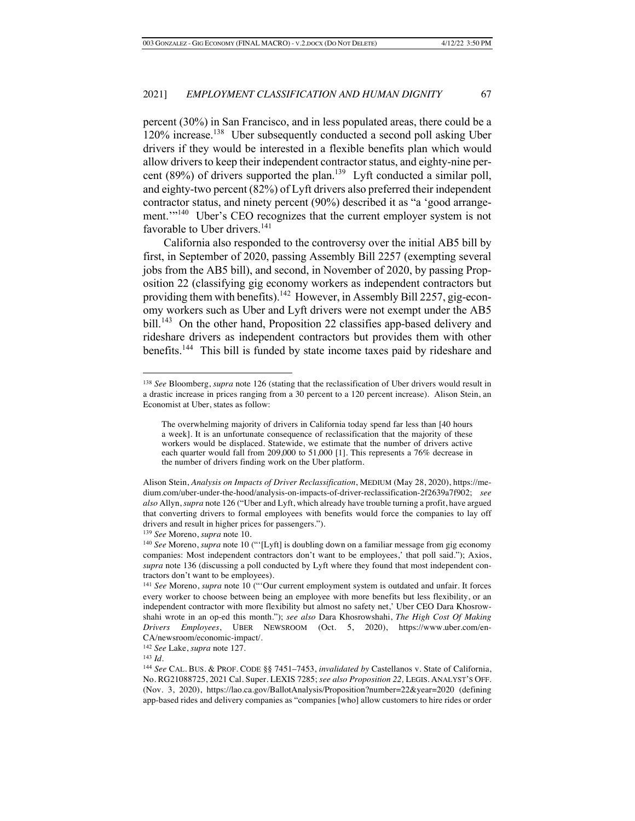percent (30%) in San Francisco, and in less populated areas, there could be a  $120\%$  increase.<sup>138</sup> Uber subsequently conducted a second poll asking Uber drivers if they would be interested in a flexible benefits plan which would allow drivers to keep their independent contractor status, and eighty-nine percent (89%) of drivers supported the plan.<sup>139</sup> Lyft conducted a similar poll, and eighty-two percent (82%) of Lyft drivers also preferred their independent contractor status, and ninety percent (90%) described it as "a 'good arrangement.'"<sup>140</sup> Uber's CEO recognizes that the current employer system is not favorable to Uber drivers.<sup>141</sup>

California also responded to the controversy over the initial AB5 bill by first, in September of 2020, passing Assembly Bill 2257 (exempting several jobs from the AB5 bill), and second, in November of 2020, by passing Proposition 22 (classifying gig economy workers as independent contractors but providing them with benefits).<sup>142</sup> However, in Assembly Bill 2257, gig-economy workers such as Uber and Lyft drivers were not exempt under the AB5 bill.<sup>143</sup> On the other hand, Proposition 22 classifies app-based delivery and rideshare drivers as independent contractors but provides them with other benefits.<sup>144</sup> This bill is funded by state income taxes paid by rideshare and

<sup>139</sup> *See* Moreno, *supra* note 10.

<sup>142</sup> *See* Lake, *supra* note 127.

<sup>143</sup> *Id.*

<sup>138</sup> *See* Bloomberg, *supra* note 126 (stating that the reclassification of Uber drivers would result in a drastic increase in prices ranging from a 30 percent to a 120 percent increase). Alison Stein, an Economist at Uber, states as follow:

The overwhelming majority of drivers in California today spend far less than [40 hours a week]. It is an unfortunate consequence of reclassification that the majority of these workers would be displaced. Statewide, we estimate that the number of drivers active each quarter would fall from 209,000 to 51,000 [1]. This represents a 76% decrease in the number of drivers finding work on the Uber platform.

Alison Stein, *Analysis on Impacts of Driver Reclassification*, MEDIUM (May 28, 2020), https://medium.com/uber-under-the-hood/analysis-on-impacts-of-driver-reclassification-2f2639a7f902; *see also* Allyn, *supra* note 126 ("Uber and Lyft, which already have trouble turning a profit, have argued that converting drivers to formal employees with benefits would force the companies to lay off drivers and result in higher prices for passengers.").

<sup>140</sup> *See* Moreno, *supra* note 10 ("'[Lyft] is doubling down on a familiar message from gig economy companies: Most independent contractors don't want to be employees,' that poll said."); Axios, *supra* note 136 (discussing a poll conducted by Lyft where they found that most independent contractors don't want to be employees).

<sup>141</sup> *See* Moreno, *supra* note 10 ("'Our current employment system is outdated and unfair. It forces every worker to choose between being an employee with more benefits but less flexibility, or an independent contractor with more flexibility but almost no safety net,' Uber CEO Dara Khosrowshahi wrote in an op-ed this month."); *see also* Dara Khosrowshahi, *The High Cost Of Making Drivers Employees*, UBER NEWSROOM (Oct. 5, 2020), https://www.uber.com/en-CA/newsroom/economic-impact/.

<sup>144</sup> *See* CAL. BUS. & PROF. CODE §§ 7451–7453, *invalidated by* Castellanos v. State of California, No. RG21088725, 2021 Cal. Super. LEXIS 7285; *see also Proposition 22,* LEGIS. ANALYST'S OFF. (Nov. 3, 2020), https://lao.ca.gov/BallotAnalysis/Proposition?number=22&year=2020 (defining app-based rides and delivery companies as "companies [who] allow customers to hire rides or order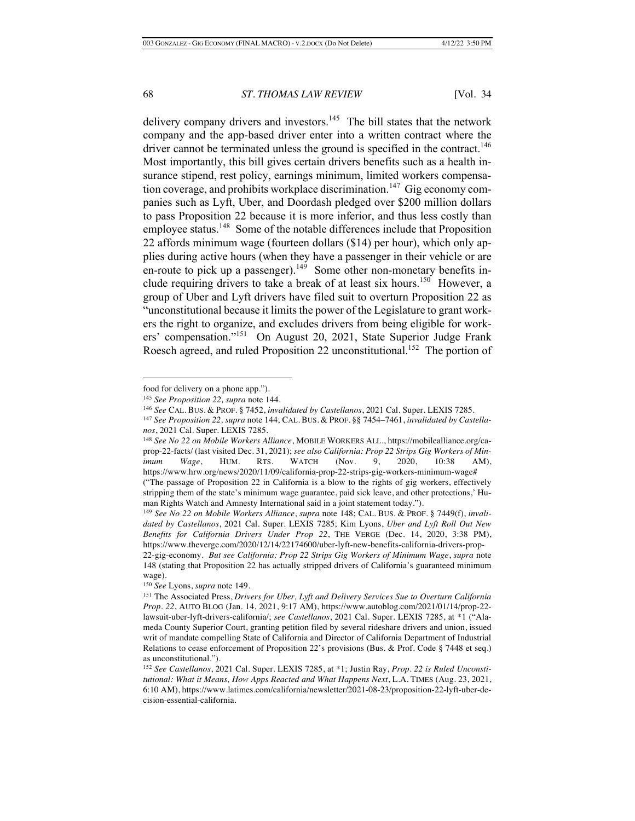delivery company drivers and investors.<sup>145</sup> The bill states that the network company and the app-based driver enter into a written contract where the driver cannot be terminated unless the ground is specified in the contract.<sup>146</sup> Most importantly, this bill gives certain drivers benefits such as a health insurance stipend, rest policy, earnings minimum, limited workers compensation coverage, and prohibits workplace discrimination.<sup>147</sup> Gig economy companies such as Lyft, Uber, and Doordash pledged over \$200 million dollars to pass Proposition 22 because it is more inferior, and thus less costly than employee status.<sup>148</sup> Some of the notable differences include that Proposition 22 affords minimum wage (fourteen dollars (\$14) per hour), which only applies during active hours (when they have a passenger in their vehicle or are en-route to pick up a passenger).<sup>149</sup> Some other non-monetary benefits include requiring drivers to take a break of at least six hours.<sup>150</sup> However, a group of Uber and Lyft drivers have filed suit to overturn Proposition 22 as "unconstitutional because it limits the power of the Legislature to grant workers the right to organize, and excludes drivers from being eligible for workers' compensation."151 On August 20, 2021, State Superior Judge Frank Roesch agreed, and ruled Proposition 22 unconstitutional.<sup>152</sup> The portion of

food for delivery on a phone app.")*.*

<sup>145</sup> *See Proposition 22, supra* note 144.

<sup>146</sup> *See* CAL. BUS. & PROF. § 7452, *invalidated by Castellanos*, 2021 Cal. Super. LEXIS 7285.

<sup>147</sup> *See Proposition 22, supra* note 144; CAL. BUS. & PROF. §§ 7454–7461, *invalidated by Castellanos*, 2021 Cal. Super. LEXIS 7285.

<sup>148</sup> *See No 22 on Mobile Workers Alliance*, MOBILE WORKERS ALL., https://mobilealliance.org/caprop-22-facts/ (last visited Dec. 31, 2021); *see also California: Prop 22 Strips Gig Workers of Minimum Wage*, HUM. RTS. WATCH (Nov. 9, 2020, 10:38 AM), https://www.hrw.org/news/2020/11/09/california-prop-22-strips-gig-workers-minimum-wage# ("The passage of Proposition 22 in California is a blow to the rights of gig workers, effectively stripping them of the state's minimum wage guarantee, paid sick leave, and other protections,' Human Rights Watch and Amnesty International said in a joint statement today.").

<sup>149</sup> *See No 22 on Mobile Workers Alliance*, *supra* note 148; CAL. BUS. & PROF. § 7449(f), *invalidated by Castellanos*, 2021 Cal. Super. LEXIS 7285; Kim Lyons, *Uber and Lyft Roll Out New Benefits for California Drivers Under Prop 22*, THE VERGE (Dec. 14, 2020, 3:38 PM), https://www.theverge.com/2020/12/14/22174600/uber-lyft-new-benefits-california-drivers-prop-22-gig-economy. *But see California: Prop 22 Strips Gig Workers of Minimum Wage*, *supra* note 148 (stating that Proposition 22 has actually stripped drivers of California's guaranteed minimum wage).

<sup>150</sup> *See* Lyons, *supra* note 149.

<sup>151</sup> The Associated Press, *Drivers for Uber, Lyft and Delivery Services Sue to Overturn California Prop. 22*, AUTO BLOG (Jan. 14, 2021, 9:17 AM), https://www.autoblog.com/2021/01/14/prop-22 lawsuit-uber-lyft-drivers-california/; *see Castellanos*, 2021 Cal. Super. LEXIS 7285, at \*1 ("Alameda County Superior Court, granting petition filed by several rideshare drivers and union, issued writ of mandate compelling State of California and Director of California Department of Industrial Relations to cease enforcement of Proposition 22's provisions (Bus. & Prof. Code § 7448 et seq.) as unconstitutional.").

<sup>152</sup> *See Castellanos*, 2021 Cal. Super. LEXIS 7285, at \*1; Justin Ray, *Prop. 22 is Ruled Unconstitutional: What it Means, How Apps Reacted and What Happens Next*, L.A. TIMES (Aug. 23, 2021, 6:10 AM), https://www.latimes.com/california/newsletter/2021-08-23/proposition-22-lyft-uber-decision-essential-california.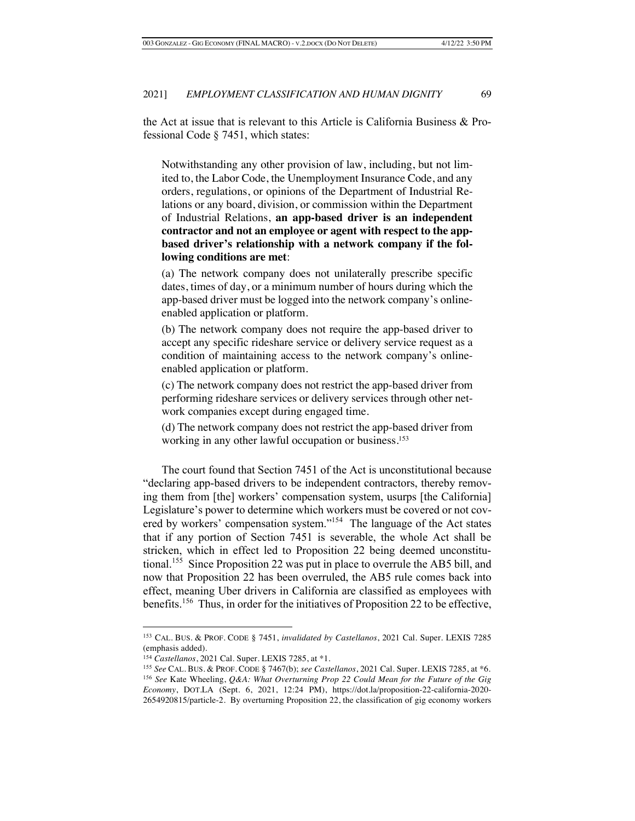the Act at issue that is relevant to this Article is California Business & Professional Code § 7451, which states:

Notwithstanding any other provision of law, including, but not limited to, the Labor Code, the Unemployment Insurance Code, and any orders, regulations, or opinions of the Department of Industrial Relations or any board, division, or commission within the Department of Industrial Relations, **an app-based driver is an independent contractor and not an employee or agent with respect to the appbased driver's relationship with a network company if the following conditions are met**:

(a) The network company does not unilaterally prescribe specific dates, times of day, or a minimum number of hours during which the app-based driver must be logged into the network company's onlineenabled application or platform.

(b) The network company does not require the app-based driver to accept any specific rideshare service or delivery service request as a condition of maintaining access to the network company's onlineenabled application or platform.

(c) The network company does not restrict the app-based driver from performing rideshare services or delivery services through other network companies except during engaged time.

(d) The network company does not restrict the app-based driver from working in any other lawful occupation or business.<sup>153</sup>

The court found that Section 7451 of the Act is unconstitutional because "declaring app-based drivers to be independent contractors, thereby removing them from [the] workers' compensation system, usurps [the California] Legislature's power to determine which workers must be covered or not covered by workers' compensation system."154 The language of the Act states that if any portion of Section 7451 is severable, the whole Act shall be stricken, which in effect led to Proposition 22 being deemed unconstitutional.155 Since Proposition 22 was put in place to overrule the AB5 bill, and now that Proposition 22 has been overruled, the AB5 rule comes back into effect, meaning Uber drivers in California are classified as employees with benefits.<sup>156</sup> Thus, in order for the initiatives of Proposition 22 to be effective,

<sup>153</sup> CAL. BUS. & PROF. CODE § 7451, *invalidated by Castellanos*, 2021 Cal. Super. LEXIS 7285 (emphasis added).

<sup>154</sup> *Castellanos*, 2021 Cal. Super. LEXIS 7285, at \*1.

<sup>155</sup> *See* CAL. BUS. & PROF. CODE § 7467(b); *see Castellanos*, 2021 Cal. Super. LEXIS 7285, at \*6. <sup>156</sup> *See* Kate Wheeling, *Q&A: What Overturning Prop 22 Could Mean for the Future of the Gig Economy*, DOT.LA (Sept. 6, 2021, 12:24 PM), https://dot.la/proposition-22-california-2020- 2654920815/particle-2. By overturning Proposition 22, the classification of gig economy workers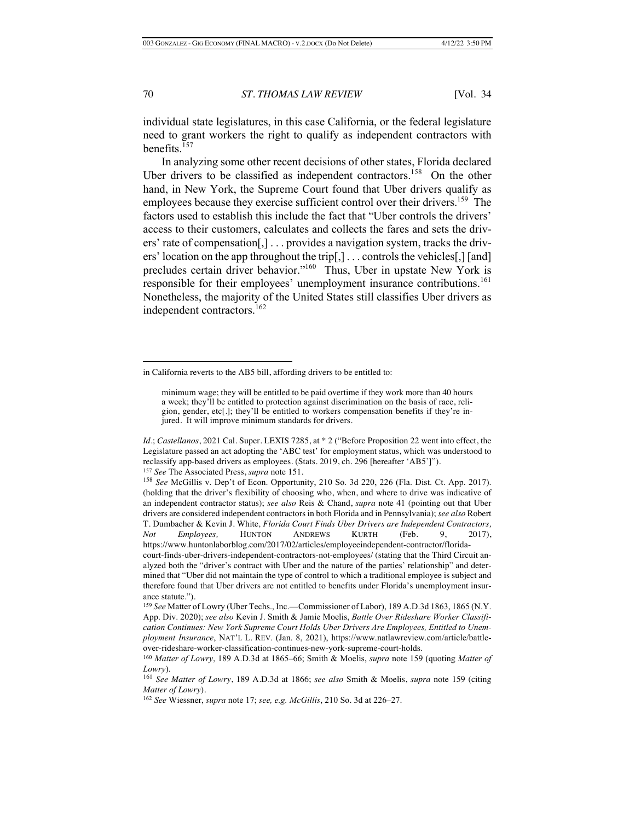individual state legislatures, in this case California, or the federal legislature need to grant workers the right to qualify as independent contractors with benefits.157

In analyzing some other recent decisions of other states, Florida declared Uber drivers to be classified as independent contractors.<sup>158</sup> On the other hand, in New York, the Supreme Court found that Uber drivers qualify as employees because they exercise sufficient control over their drivers.<sup>159</sup> The factors used to establish this include the fact that "Uber controls the drivers' access to their customers, calculates and collects the fares and sets the drivers' rate of compensation[,] . . . provides a navigation system, tracks the drivers' location on the app throughout the trip[,] . . . controls the vehicles[,] [and] precludes certain driver behavior."<sup>160</sup> Thus, Uber in upstate New York is responsible for their employees' unemployment insurance contributions.<sup>161</sup> Nonetheless, the majority of the United States still classifies Uber drivers as independent contractors.<sup>162</sup>

in California reverts to the AB5 bill, affording drivers to be entitled to:

minimum wage; they will be entitled to be paid overtime if they work more than 40 hours a week; they'll be entitled to protection against discrimination on the basis of race, religion, gender, etc[.]; they'll be entitled to workers compensation benefits if they're injured. It will improve minimum standards for drivers.

*Id.*; *Castellanos*, 2021 Cal. Super. LEXIS 7285, at \* 2 ("Before Proposition 22 went into effect, the Legislature passed an act adopting the 'ABC test' for employment status, which was understood to reclassify app-based drivers as employees. (Stats. 2019, ch. 296 [hereafter 'AB5']"). <sup>157</sup> *See* The Associated Press, *supra* note 151.

<sup>158</sup> *See* McGillis v. Dep't of Econ. Opportunity, 210 So. 3d 220, 226 (Fla. Dist. Ct. App. 2017). (holding that the driver's flexibility of choosing who, when, and where to drive was indicative of an independent contractor status); *see also* Reis & Chand, *supra* note 41 (pointing out that Uber drivers are considered independent contractors in both Florida and in Pennsylvania); *see also* Robert T. Dumbacher & Kevin J. White*, Florida Court Finds Uber Drivers are Independent Contractors, Not Employees,* HUNTON ANDREWS KURTH (Feb. 9, 2017), https://www.huntonlaborblog.com/2017/02/articles/employeeindependent-contractor/floridacourt-finds-uber-drivers-independent-contractors-not-employees/ (stating that the Third Circuit an-

alyzed both the "driver's contract with Uber and the nature of the parties' relationship" and determined that "Uber did not maintain the type of control to which a traditional employee is subject and therefore found that Uber drivers are not entitled to benefits under Florida's unemployment insurance statute.").

<sup>159</sup> *See* Matter of Lowry (Uber Techs., Inc.—Commissioner of Labor), 189 A.D.3d 1863, 1865 (N.Y. App. Div. 2020); *see also* Kevin J. Smith & Jamie Moelis, *Battle Over Rideshare Worker Classification Continues: New York Supreme Court Holds Uber Drivers Are Employees, Entitled to Unemployment Insurance*, NAT'L L. REV. (Jan. 8, 2021), https://www.natlawreview.com/article/battleover-rideshare-worker-classification-continues-new-york-supreme-court-holds. 160 *Matter of Lowry*, 189 A.D.3d at 1865–66; Smith & Moelis, *supra* note 159 (quoting *Matter of* 

*Lowry*).

<sup>161</sup> *See Matter of Lowry*, 189 A.D.3d at 1866; *see also* Smith & Moelis, *supra* note 159 (citing *Matter of Lowry*).

<sup>162</sup> *See* Wiessner, *supra* note 17; *see, e.g. McGillis*, 210 So. 3d at 226–27.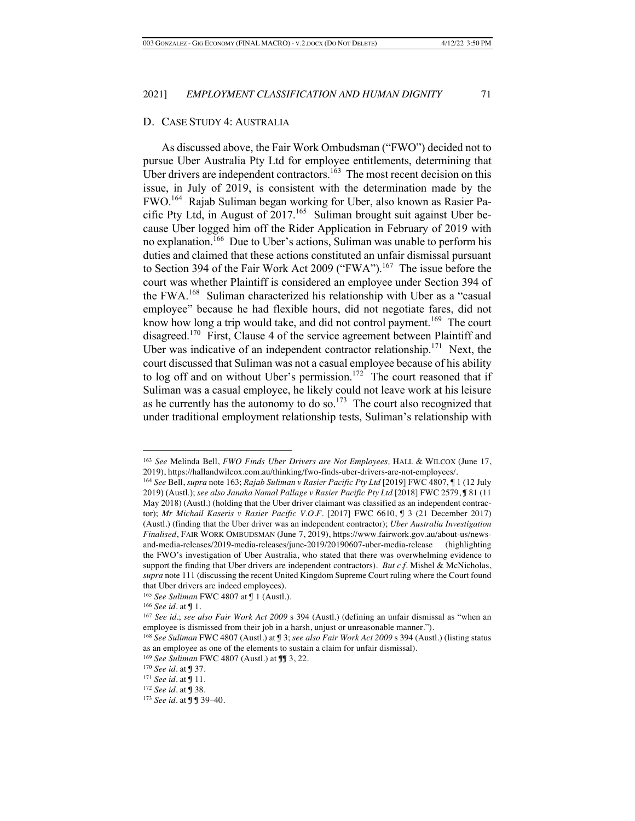## D. CASE STUDY 4: AUSTRALIA

As discussed above, the Fair Work Ombudsman ("FWO") decided not to pursue Uber Australia Pty Ltd for employee entitlements, determining that Uber drivers are independent contractors.<sup>163</sup> The most recent decision on this issue, in July of 2019, is consistent with the determination made by the FWO. 164 Rajab Suliman began working for Uber, also known as Rasier Pacific Pty Ltd, in August of  $2017$ <sup>165</sup> Suliman brought suit against Uber because Uber logged him off the Rider Application in February of 2019 with no explanation.<sup>166</sup> Due to Uber's actions, Suliman was unable to perform his duties and claimed that these actions constituted an unfair dismissal pursuant to Section 394 of the Fair Work Act 2009 ("FWA").<sup>167</sup> The issue before the court was whether Plaintiff is considered an employee under Section 394 of the FWA.<sup>168</sup> Suliman characterized his relationship with Uber as a "casual employee" because he had flexible hours, did not negotiate fares, did not know how long a trip would take, and did not control payment.<sup>169</sup> The court disagreed.170 First, Clause 4 of the service agreement between Plaintiff and Uber was indicative of an independent contractor relationship.<sup>171</sup> Next, the court discussed that Suliman was not a casual employee because of his ability to log off and on without Uber's permission.<sup>172</sup> The court reasoned that if Suliman was a casual employee, he likely could not leave work at his leisure as he currently has the autonomy to do so.<sup>173</sup> The court also recognized that under traditional employment relationship tests, Suliman's relationship with

<sup>163</sup> *See* Melinda Bell, *FWO Finds Uber Drivers are Not Employees,* HALL & WILCOX (June 17, 2019), https://hallandwilcox.com.au/thinking/fwo-finds-uber-drivers-are-not-employees/.

<sup>164</sup> *See* Bell, *supra* note 163; *Rajab Suliman v Rasier Pacific Pty Ltd* [2019] FWC 4807, ¶ 1 (12 July 2019) (Austl.); *see also Janaka Namal Pallage v Rasier Pacific Pty Ltd* [2018] FWC 2579, ¶ 81 (11 May 2018) (Austl.) (holding that the Uber driver claimant was classified as an independent contractor); *Mr Michail Kaseris v Rasier Pacific V.O.F.* [2017] FWC 6610, ¶ 3 (21 December 2017) (Austl.) (finding that the Uber driver was an independent contractor); *Uber Australia Investigation Finalised*, FAIR WORK OMBUDSMAN (June 7, 2019), https://www.fairwork.gov.au/about-us/newsand-media-releases/2019-media-releases/june-2019/20190607-uber-media-release (highlighting the FWO's investigation of Uber Australia, who stated that there was overwhelming evidence to support the finding that Uber drivers are independent contractors). *But c.f.* Mishel & McNicholas, *supra* note 111 (discussing the recent United Kingdom Supreme Court ruling where the Court found that Uber drivers are indeed employees).

<sup>165</sup> *See Suliman* FWC 4807 at ¶ 1 (Austl.).

<sup>166</sup> *See id.* at ¶ 1.

<sup>167</sup> *See id.*; *see also Fair Work Act 2009* s 394 (Austl.) (defining an unfair dismissal as "when an employee is dismissed from their job in a harsh, unjust or unreasonable manner.").

<sup>168</sup> *See Suliman* FWC 4807 (Austl.) at ¶ 3; *see also Fair Work Act 2009* s 394 (Austl.) (listing status as an employee as one of the elements to sustain a claim for unfair dismissal).

<sup>169</sup> *See Suliman* FWC 4807 (Austl.) at ¶¶ 3, 22.

<sup>170</sup> *See id.* at ¶ 37.

<sup>171</sup> *See id.* at ¶ 11.

<sup>172</sup> *See id.* at ¶ 38.

<sup>173</sup> *See id.* at ¶ ¶ 39–40.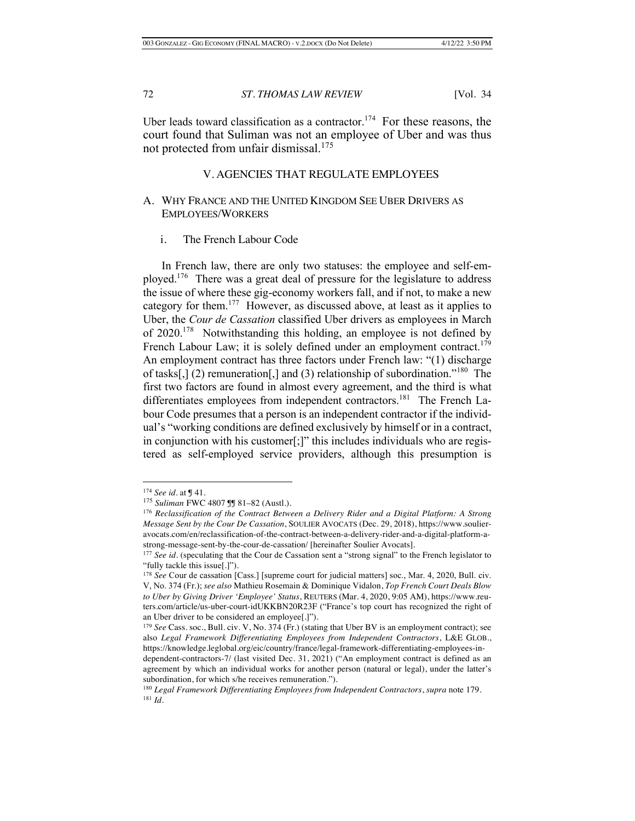Uber leads toward classification as a contractor.<sup>174</sup> For these reasons, the court found that Suliman was not an employee of Uber and was thus not protected from unfair dismissal.175

## V. AGENCIES THAT REGULATE EMPLOYEES

## A. WHY FRANCE AND THE UNITED KINGDOM SEE UBER DRIVERS AS EMPLOYEES/WORKERS

## i. The French Labour Code

In French law, there are only two statuses: the employee and self-employed.<sup>176</sup> There was a great deal of pressure for the legislature to address the issue of where these gig-economy workers fall, and if not, to make a new category for them.177 However, as discussed above, at least as it applies to Uber, the *Cour de Cassation* classified Uber drivers as employees in March of 2020.<sup>178</sup> Notwithstanding this holding, an employee is not defined by French Labour Law; it is solely defined under an employment contract.<sup>179</sup> An employment contract has three factors under French law: "(1) discharge of tasks[,] (2) remuneration[,] and (3) relationship of subordination."<sup>180</sup> The first two factors are found in almost every agreement, and the third is what differentiates employees from independent contractors.<sup>181</sup> The French Labour Code presumes that a person is an independent contractor if the individual's "working conditions are defined exclusively by himself or in a contract, in conjunction with his customer[;]" this includes individuals who are registered as self-employed service providers, although this presumption is

<sup>174</sup> *See id.* at ¶ 41.

<sup>175</sup> *Suliman* FWC 4807 ¶¶ 81–82 (Austl.).

<sup>176</sup> *Reclassification of the Contract Between a Delivery Rider and a Digital Platform: A Strong Message Sent by the Cour De Cassation*, SOULIER AVOCATS (Dec. 29, 2018), https://www.soulieravocats.com/en/reclassification-of-the-contract-between-a-delivery-rider-and-a-digital-platform-astrong-message-sent-by-the-cour-de-cassation/ [hereinafter Soulier Avocats].

<sup>&</sup>lt;sup>177</sup> *See id.* (speculating that the Cour de Cassation sent a "strong signal" to the French legislator to "fully tackle this issue[.]").

<sup>&</sup>lt;sup>178</sup> See Cour de cassation [Cass.] [supreme court for judicial matters] soc., Mar. 4, 2020, Bull. civ. V, No. 374 (Fr.); *see also* Mathieu Rosemain & Dominique Vidalon, *Top French Court Deals Blow to Uber by Giving Driver 'Employee' Status*, REUTERS (Mar. 4, 2020, 9:05 AM), https://www.reuters.com/article/us-uber-court-idUKKBN20R23F ("France's top court has recognized the right of an Uber driver to be considered an employee[.]").

<sup>&</sup>lt;sup>179</sup> *See* Cass. soc., Bull. civ. V, No. 374 (Fr.) (stating that Uber BV is an employment contract); see also *Legal Framework Differentiating Employees from Independent Contractors*, L&E GLOB., https://knowledge.leglobal.org/eic/country/france/legal-framework-differentiating-employees-in-

dependent-contractors-7/ (last visited Dec. 31, 2021) ("An employment contract is defined as an agreement by which an individual works for another person (natural or legal), under the latter's subordination, for which s/he receives remuneration.").

<sup>180</sup> *Legal Framework Differentiating Employees from Independent Contractors*, *supra* note 179. <sup>181</sup> *Id.*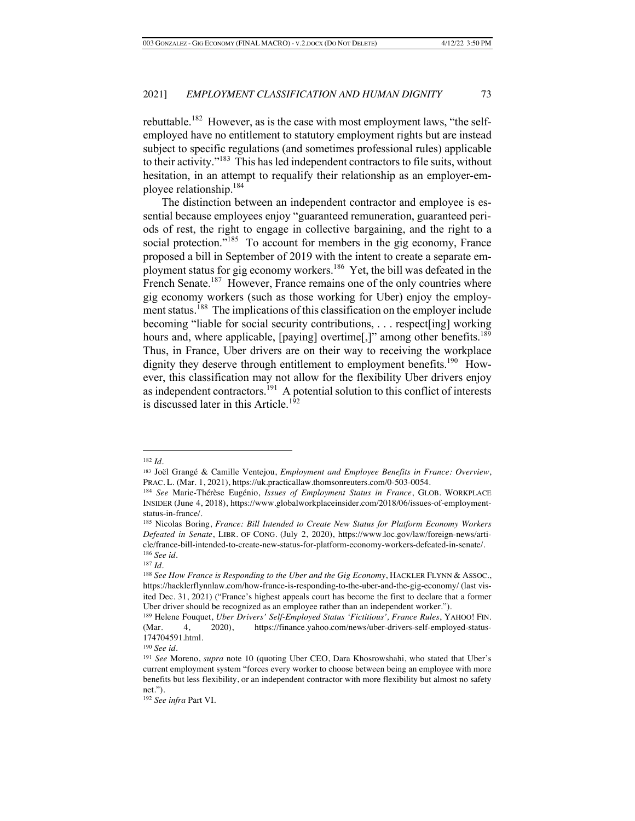rebuttable.<sup>182</sup> However, as is the case with most employment laws, "the selfemployed have no entitlement to statutory employment rights but are instead subject to specific regulations (and sometimes professional rules) applicable to their activity."183 This has led independent contractors to file suits, without hesitation, in an attempt to requalify their relationship as an employer-employee relationship.184

The distinction between an independent contractor and employee is essential because employees enjoy "guaranteed remuneration, guaranteed periods of rest, the right to engage in collective bargaining, and the right to a social protection."<sup>185</sup> To account for members in the gig economy, France proposed a bill in September of 2019 with the intent to create a separate employment status for gig economy workers.186 Yet, the bill was defeated in the French Senate.<sup>187</sup> However, France remains one of the only countries where gig economy workers (such as those working for Uber) enjoy the employment status.188 The implications of this classification on the employer include becoming "liable for social security contributions, . . . respect[ing] working hours and, where applicable, [paying] overtime[,]" among other benefits.<sup>189</sup> Thus, in France, Uber drivers are on their way to receiving the workplace dignity they deserve through entitlement to employment benefits.<sup>190</sup> However, this classification may not allow for the flexibility Uber drivers enjoy as independent contractors.<sup>191</sup> A potential solution to this conflict of interests is discussed later in this Article.<sup>192</sup>

<sup>182</sup> *Id.*

<sup>183</sup> Joël Grangé & Camille Ventejou, *Employment and Employee Benefits in France: Overview*, PRAC. L. (Mar. 1, 2021), https://uk.practicallaw.thomsonreuters.com/0-503-0054.

<sup>184</sup> *See* Marie-Thérèse Eugénio, *Issues of Employment Status in France*, GLOB. WORKPLACE INSIDER (June 4, 2018), https://www.globalworkplaceinsider.com/2018/06/issues-of-employmentstatus-in-france/.

<sup>185</sup> Nicolas Boring, *France: Bill Intended to Create New Status for Platform Economy Workers Defeated in Senate*, LIBR. OF CONG. (July 2, 2020), https://www.loc.gov/law/foreign-news/article/france-bill-intended-to-create-new-status-for-platform-economy-workers-defeated-in-senate/. <sup>186</sup> *See id*.

<sup>187</sup> *Id*.

<sup>188</sup> *See How France is Responding to the Uber and the Gig Economy*, HACKLER FLYNN & ASSOC., https://hacklerflynnlaw.com/how-france-is-responding-to-the-uber-and-the-gig-economy/ (last visited Dec. 31, 2021) ("France's highest appeals court has become the first to declare that a former Uber driver should be recognized as an employee rather than an independent worker.").

<sup>189</sup> Helene Fouquet, *Uber Drivers' Self-Employed Status 'Fictitious', France Rules*, YAHOO! FIN. (Mar. 4, 2020), https://finance.yahoo.com/news/uber-drivers-self-employed-status-174704591.html.

<sup>190</sup> *See id*.

<sup>191</sup> *See* Moreno, *supra* note 10 (quoting Uber CEO, Dara Khosrowshahi, who stated that Uber's current employment system "forces every worker to choose between being an employee with more benefits but less flexibility, or an independent contractor with more flexibility but almost no safety net.")*.*

<sup>192</sup> *See infra* Part VI.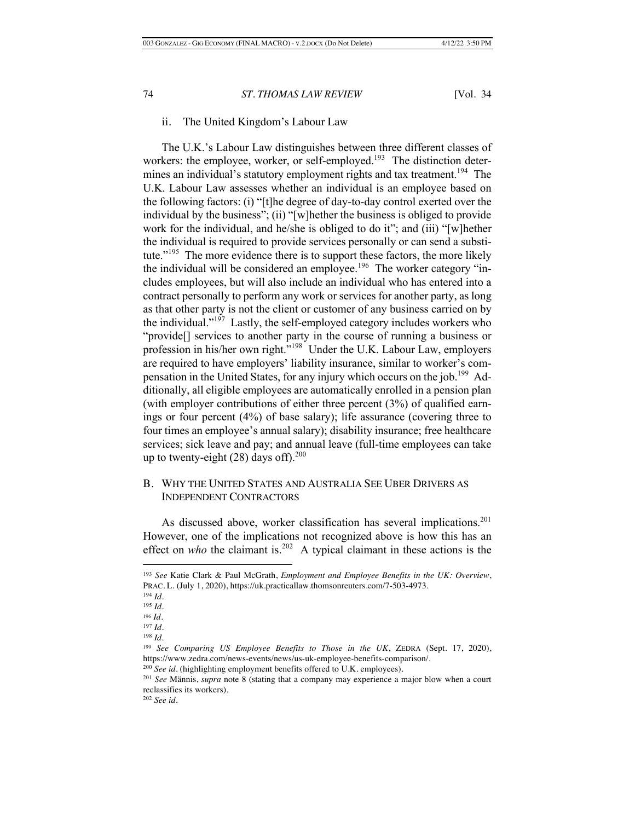## ii. The United Kingdom's Labour Law

The U.K.'s Labour Law distinguishes between three different classes of workers: the employee, worker, or self-employed.<sup>193</sup> The distinction determines an individual's statutory employment rights and tax treatment.<sup>194</sup> The U.K. Labour Law assesses whether an individual is an employee based on the following factors: (i) "[t]he degree of day-to-day control exerted over the individual by the business"; (ii) "[w]hether the business is obliged to provide work for the individual, and he/she is obliged to do it"; and (iii) "[w]hether the individual is required to provide services personally or can send a substitute."<sup>195</sup> The more evidence there is to support these factors, the more likely the individual will be considered an employee.<sup>196</sup> The worker category "includes employees, but will also include an individual who has entered into a contract personally to perform any work or services for another party, as long as that other party is not the client or customer of any business carried on by the individual."197 Lastly, the self-employed category includes workers who "provide[] services to another party in the course of running a business or profession in his/her own right."198 Under the U.K. Labour Law, employers are required to have employers' liability insurance, similar to worker's compensation in the United States, for any injury which occurs on the job.<sup>199</sup> Additionally, all eligible employees are automatically enrolled in a pension plan (with employer contributions of either three percent (3%) of qualified earnings or four percent (4%) of base salary); life assurance (covering three to four times an employee's annual salary); disability insurance; free healthcare services; sick leave and pay; and annual leave (full-time employees can take up to twenty-eight  $(28)$  days off).<sup>200</sup>

## B. WHY THE UNITED STATES AND AUSTRALIA SEE UBER DRIVERS AS INDEPENDENT CONTRACTORS

As discussed above, worker classification has several implications.<sup>201</sup> However, one of the implications not recognized above is how this has an effect on *who* the claimant is.<sup>202</sup> A typical claimant in these actions is the

<sup>193</sup> *See* Katie Clark & Paul McGrath, *Employment and Employee Benefits in the UK: Overview*, PRAC. L. (July 1, 2020), https://uk.practicallaw.thomsonreuters.com/7-503-4973.

<sup>194</sup> *Id.*

<sup>195</sup> *Id.*

<sup>196</sup> *Id*.

<sup>197</sup> *Id*.

<sup>198</sup> *Id*.

<sup>199</sup> *See Comparing US Employee Benefits to Those in the UK*, ZEDRA (Sept. 17, 2020), https://www.zedra.com/news-events/news/us-uk-employee-benefits-comparison/.

<sup>200</sup> *See id.* (highlighting employment benefits offered to U.K. employees).

<sup>201</sup> *See* Männis, *supra* note 8 (stating that a company may experience a major blow when a court reclassifies its workers).

<sup>202</sup> *See id*.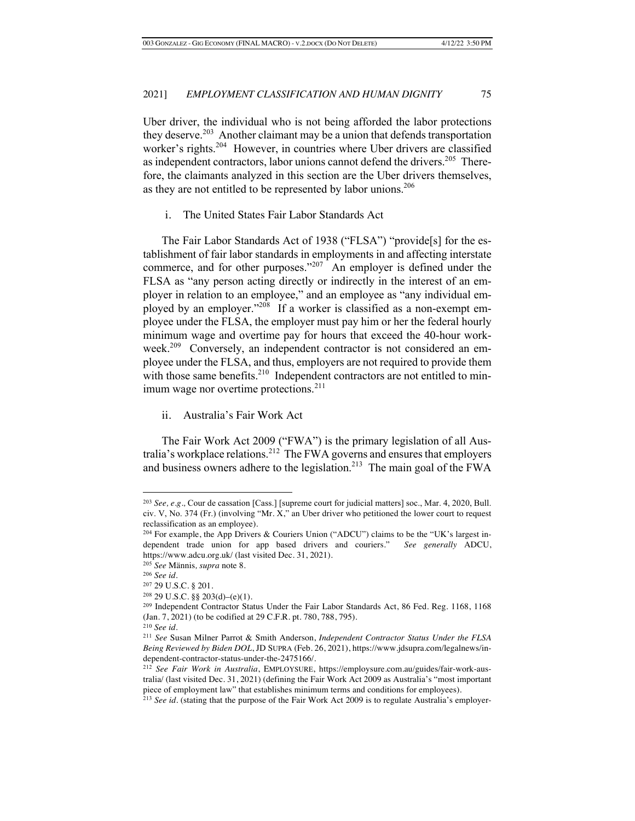Uber driver, the individual who is not being afforded the labor protections they deserve.<sup>203</sup> Another claimant may be a union that defends transportation worker's rights.<sup>204</sup> However, in countries where Uber drivers are classified as independent contractors, labor unions cannot defend the drivers.<sup>205</sup> Therefore, the claimants analyzed in this section are the Uber drivers themselves, as they are not entitled to be represented by labor unions.<sup>206</sup>

i. The United States Fair Labor Standards Act

The Fair Labor Standards Act of 1938 ("FLSA") "provide[s] for the establishment of fair labor standards in employments in and affecting interstate commerce, and for other purposes."<sup>207</sup> An employer is defined under the FLSA as "any person acting directly or indirectly in the interest of an employer in relation to an employee," and an employee as "any individual employed by an employer."<sup>208</sup> If a worker is classified as a non-exempt employee under the FLSA, the employer must pay him or her the federal hourly minimum wage and overtime pay for hours that exceed the 40-hour workweek.<sup>209</sup> Conversely, an independent contractor is not considered an employee under the FLSA, and thus, employers are not required to provide them with those same benefits.<sup>210</sup> Independent contractors are not entitled to minimum wage nor overtime protections.<sup>211</sup>

ii. Australia's Fair Work Act

The Fair Work Act 2009 ("FWA") is the primary legislation of all Australia's workplace relations.<sup>212</sup> The FWA governs and ensures that employers and business owners adhere to the legislation.<sup>213</sup> The main goal of the FWA

<sup>203</sup> *See, e.g.,* Cour de cassation [Cass.] [supreme court for judicial matters] soc., Mar. 4, 2020, Bull. civ. V, No. 374 (Fr.) (involving "Mr. X," an Uber driver who petitioned the lower court to request reclassification as an employee).

<sup>&</sup>lt;sup>204</sup> For example, the App Drivers & Couriers Union ("ADCU") claims to be the "UK's largest independent trade union for app based drivers and couriers." *See generally* ADCU, https://www.adcu.org.uk/ (last visited Dec. 31, 2021).

<sup>205</sup> *See* Männis*, supra* note 8.

<sup>206</sup> *See id*.

<sup>207</sup> 29 U.S.C. § 201.

 $208$  29 U.S.C. §§ 203(d)–(e)(1).

<sup>209</sup> Independent Contractor Status Under the Fair Labor Standards Act, 86 Fed. Reg. 1168, 1168 (Jan. 7, 2021) (to be codified at 29 C.F.R. pt. 780, 788, 795).

<sup>210</sup> *See id.*

<sup>211</sup> *See* Susan Milner Parrot & Smith Anderson, *Independent Contractor Status Under the FLSA Being Reviewed by Biden DOL*, JD SUPRA (Feb. 26, 2021), https://www.jdsupra.com/legalnews/independent-contractor-status-under-the-2475166/.

<sup>212</sup> *See Fair Work in Australia*, EMPLOYSURE, https://employsure.com.au/guides/fair-work-australia/ (last visited Dec. 31, 2021) (defining the Fair Work Act 2009 as Australia's "most important piece of employment law" that establishes minimum terms and conditions for employees).

<sup>213</sup> *See id.* (stating that the purpose of the Fair Work Act 2009 is to regulate Australia's employer-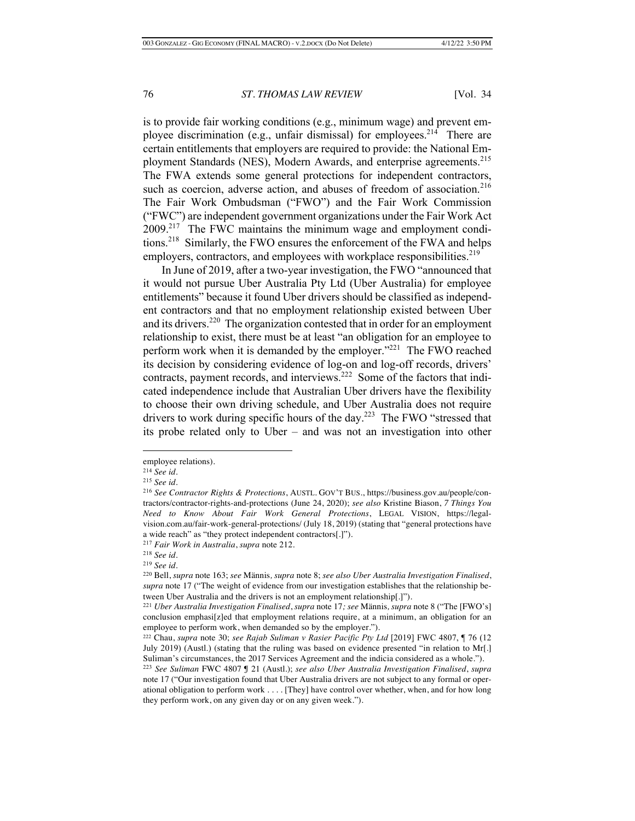is to provide fair working conditions (e.g., minimum wage) and prevent employee discrimination (e.g., unfair dismissal) for employees.<sup>214</sup> There are certain entitlements that employers are required to provide: the National Employment Standards (NES), Modern Awards, and enterprise agreements.<sup>215</sup> The FWA extends some general protections for independent contractors, such as coercion, adverse action, and abuses of freedom of association.<sup>216</sup> The Fair Work Ombudsman ("FWO") and the Fair Work Commission ("FWC") are independent government organizations under the Fair Work Act  $2009<sup>217</sup>$  The FWC maintains the minimum wage and employment conditions.218 Similarly, the FWO ensures the enforcement of the FWA and helps employers, contractors, and employees with workplace responsibilities.<sup>219</sup>

In June of 2019, after a two-year investigation, the FWO "announced that it would not pursue Uber Australia Pty Ltd (Uber Australia) for employee entitlements" because it found Uber drivers should be classified as independent contractors and that no employment relationship existed between Uber and its drivers.<sup>220</sup> The organization contested that in order for an employment relationship to exist, there must be at least "an obligation for an employee to perform work when it is demanded by the employer."<sup>221</sup> The FWO reached its decision by considering evidence of log-on and log-off records, drivers' contracts, payment records, and interviews.<sup>222</sup> Some of the factors that indicated independence include that Australian Uber drivers have the flexibility to choose their own driving schedule, and Uber Australia does not require drivers to work during specific hours of the day.<sup>223</sup> The FWO "stressed that its probe related only to Uber – and was not an investigation into other

employee relations).

<sup>214</sup> *See id.*

<sup>215</sup> *See id.*

<sup>216</sup> *See Contractor Rights & Protections*, AUSTL. GOV'T BUS., https://business.gov.au/people/contractors/contractor-rights-and-protections (June 24, 2020); *see also* Kristine Biason, *7 Things You Need to Know About Fair Work General Protections*, LEGAL VISION, https://legalvision.com.au/fair-work-general-protections/ (July 18, 2019) (stating that "general protections have a wide reach" as "they protect independent contractors[.]").

<sup>217</sup> *Fair Work in Australia*, *supra* note 212.

<sup>218</sup> *See id*.

<sup>219</sup> *See id*.

<sup>220</sup> Bell, *supra* note 163; *see* Männis*, supra* note 8; *see also Uber Australia Investigation Finalised*, *supra* note 17 ("The weight of evidence from our investigation establishes that the relationship between Uber Australia and the drivers is not an employment relationship[.]").

<sup>221</sup> *Uber Australia Investigation Finalised*, *supra* note 17*; see* Männis*, supra* note 8 ("The [FWO's] conclusion emphasi[z]ed that employment relations require, at a minimum, an obligation for an employee to perform work, when demanded so by the employer.").

<sup>222</sup> Chau, *supra* note 30; *see Rajab Suliman v Rasier Pacific Pty Ltd* [2019] FWC 4807, ¶ 76 (12 July 2019) (Austl.) (stating that the ruling was based on evidence presented "in relation to Mr[.] Suliman's circumstances, the 2017 Services Agreement and the indicia considered as a whole.").

<sup>223</sup> *See Suliman* FWC 4807 ¶ 21 (Austl.); *see also Uber Australia Investigation Finalised*, *supra*  note 17 ("Our investigation found that Uber Australia drivers are not subject to any formal or operational obligation to perform work . . . . [They] have control over whether, when, and for how long they perform work, on any given day or on any given week.").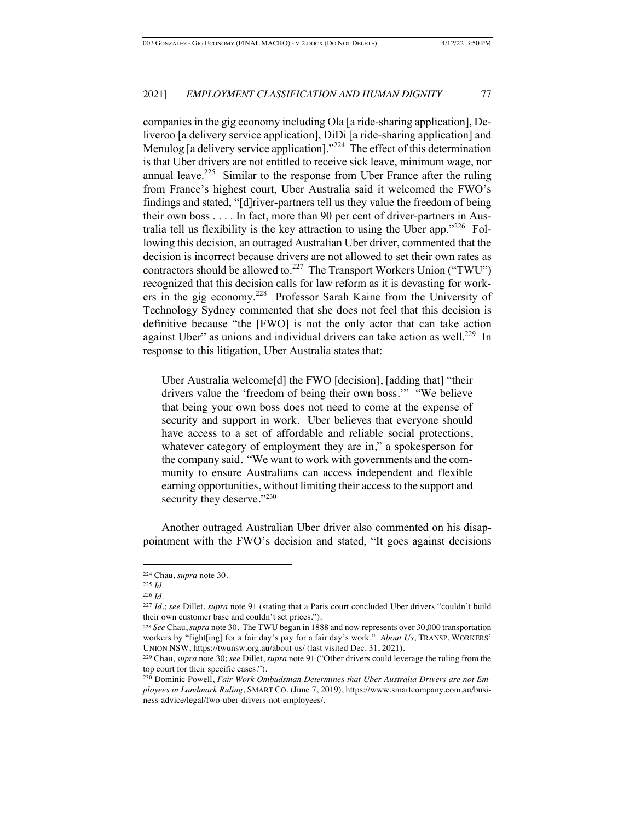companies in the gig economy including Ola [a ride-sharing application], Deliveroo [a delivery service application], DiDi [a ride-sharing application] and Menulog [a delivery service application]."<sup>224</sup> The effect of this determination is that Uber drivers are not entitled to receive sick leave, minimum wage, nor annual leave.<sup>225</sup> Similar to the response from Uber France after the ruling from France's highest court, Uber Australia said it welcomed the FWO's findings and stated, "[d]river-partners tell us they value the freedom of being their own boss . . . . In fact, more than 90 per cent of driver-partners in Australia tell us flexibility is the key attraction to using the Uber app." $226$  Following this decision, an outraged Australian Uber driver, commented that the decision is incorrect because drivers are not allowed to set their own rates as contractors should be allowed to.<sup>227</sup> The Transport Workers Union ("TWU") recognized that this decision calls for law reform as it is devasting for workers in the gig economy.228 Professor Sarah Kaine from the University of Technology Sydney commented that she does not feel that this decision is definitive because "the [FWO] is not the only actor that can take action against Uber" as unions and individual drivers can take action as well.<sup>229</sup> In response to this litigation, Uber Australia states that:

Uber Australia welcome[d] the FWO [decision], [adding that] "their drivers value the 'freedom of being their own boss.'" "We believe that being your own boss does not need to come at the expense of security and support in work. Uber believes that everyone should have access to a set of affordable and reliable social protections, whatever category of employment they are in," a spokesperson for the company said. "We want to work with governments and the community to ensure Australians can access independent and flexible earning opportunities, without limiting their access to the support and security they deserve."230

Another outraged Australian Uber driver also commented on his disappointment with the FWO's decision and stated, "It goes against decisions

<sup>224</sup> Chau, *supra* note 30.

<sup>225</sup> *Id*.

<sup>226</sup> *Id*.

<sup>227</sup> *Id*.; *see* Dillet, *supra* note 91 (stating that a Paris court concluded Uber drivers "couldn't build their own customer base and couldn't set prices.").

<sup>228</sup> *See* Chau, *supra* note 30. The TWU began in 1888 and now represents over 30,000 transportation workers by "fight[ing] for a fair day's pay for a fair day's work." *About Us*, TRANSP. WORKERS' UNION NSW, https://twunsw.org.au/about-us/ (last visited Dec. 31, 2021).

<sup>229</sup> Chau, *supra* note 30; *see* Dillet, *supra* note 91 ("Other drivers could leverage the ruling from the top court for their specific cases.").

<sup>230</sup> Dominic Powell, *Fair Work Ombudsman Determines that Uber Australia Drivers are not Employees in Landmark Ruling*, SMART CO. (June 7, 2019), https://www.smartcompany.com.au/business-advice/legal/fwo-uber-drivers-not-employees/.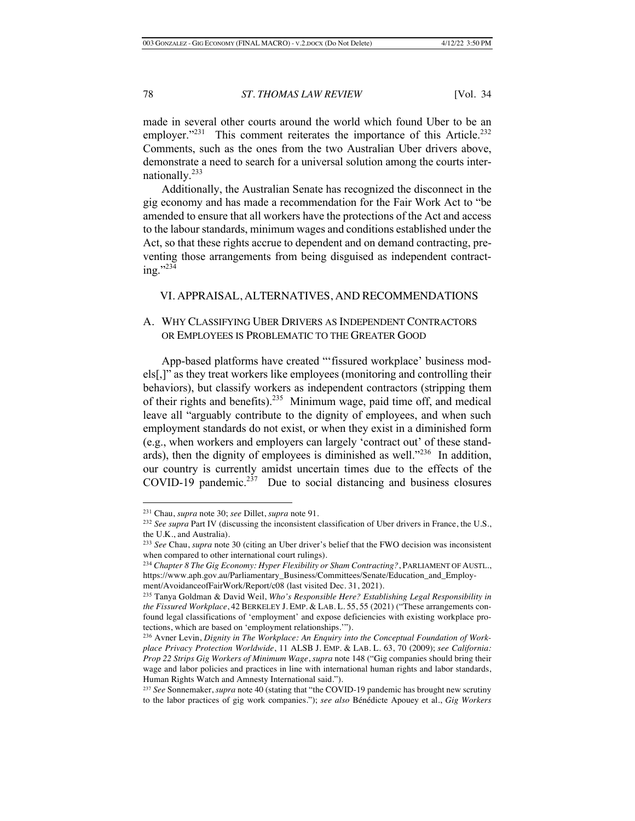made in several other courts around the world which found Uber to be an employer." $^{231}$  This comment reiterates the importance of this Article. $^{232}$ Comments, such as the ones from the two Australian Uber drivers above, demonstrate a need to search for a universal solution among the courts internationally.233

Additionally, the Australian Senate has recognized the disconnect in the gig economy and has made a recommendation for the Fair Work Act to "be amended to ensure that all workers have the protections of the Act and access to the labour standards, minimum wages and conditions established under the Act, so that these rights accrue to dependent and on demand contracting, preventing those arrangements from being disguised as independent contracting."234

## VI. APPRAISAL, ALTERNATIVES, AND RECOMMENDATIONS

## A. WHY CLASSIFYING UBER DRIVERS AS INDEPENDENT CONTRACTORS OR EMPLOYEES IS PROBLEMATIC TO THE GREATER GOOD

App-based platforms have created "'fissured workplace' business models[,]" as they treat workers like employees (monitoring and controlling their behaviors), but classify workers as independent contractors (stripping them of their rights and benefits).235 Minimum wage, paid time off, and medical leave all "arguably contribute to the dignity of employees, and when such employment standards do not exist, or when they exist in a diminished form (e.g., when workers and employers can largely 'contract out' of these standards), then the dignity of employees is diminished as well."<sup>236</sup> In addition, our country is currently amidst uncertain times due to the effects of the COVID-19 pandemic. $237$  Due to social distancing and business closures

<sup>231</sup> Chau, *supra* note 30; *see* Dillet, *supra* note 91.

<sup>232</sup> *See supra* Part IV (discussing the inconsistent classification of Uber drivers in France, the U.S., the U.K., and Australia)*.*

<sup>233</sup> *See* Chau, *supra* note 30 (citing an Uber driver's belief that the FWO decision was inconsistent when compared to other international court rulings).

<sup>234</sup> *Chapter 8 The Gig Economy: Hyper Flexibility or Sham Contracting?*, PARLIAMENT OF AUSTL., https://www.aph.gov.au/Parliamentary\_Business/Committees/Senate/Education\_and\_Employment/AvoidanceofFairWork/Report/c08 (last visited Dec. 31, 2021).

<sup>235</sup> Tanya Goldman & David Weil, *Who's Responsible Here? Establishing Legal Responsibility in the Fissured Workplace*, 42 BERKELEY J. EMP. & LAB. L. 55, 55 (2021) ("These arrangements confound legal classifications of 'employment' and expose deficiencies with existing workplace protections, which are based on 'employment relationships.'").

<sup>236</sup> Avner Levin, *Dignity in The Workplace: An Enquiry into the Conceptual Foundation of Workplace Privacy Protection Worldwide*, 11 ALSB J. EMP. & LAB. L. 63, 70 (2009); *see California: Prop 22 Strips Gig Workers of Minimum Wage*, *supra* note 148 ("Gig companies should bring their wage and labor policies and practices in line with international human rights and labor standards, Human Rights Watch and Amnesty International said.").

<sup>237</sup> *See* Sonnemaker, *supra* note 40 (stating that "the COVID-19 pandemic has brought new scrutiny to the labor practices of gig work companies."); *see also* Bénédicte Apouey et al., *Gig Workers*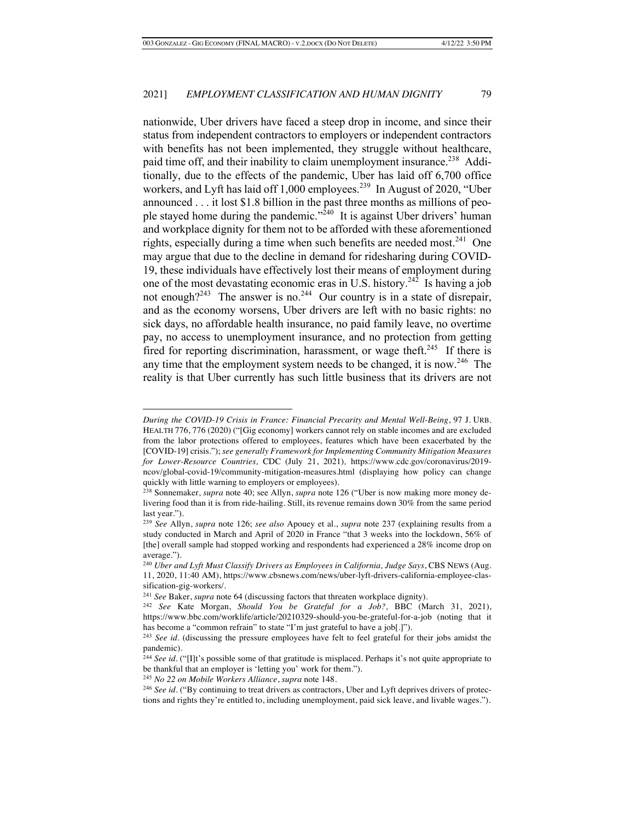nationwide, Uber drivers have faced a steep drop in income, and since their status from independent contractors to employers or independent contractors with benefits has not been implemented, they struggle without healthcare, paid time off, and their inability to claim unemployment insurance.<sup>238</sup> Additionally, due to the effects of the pandemic, Uber has laid off 6,700 office workers, and Lyft has laid off 1,000 employees.<sup>239</sup> In August of 2020, "Uber announced . . . it lost \$1.8 billion in the past three months as millions of people stayed home during the pandemic."<sup>240</sup> It is against Uber drivers' human and workplace dignity for them not to be afforded with these aforementioned rights, especially during a time when such benefits are needed most.<sup>241</sup> One may argue that due to the decline in demand for ridesharing during COVID-19, these individuals have effectively lost their means of employment during one of the most devastating economic eras in U.S. history.<sup>242</sup> Is having a job not enough?<sup>243</sup> The answer is no.<sup>244</sup> Our country is in a state of disrepair, and as the economy worsens, Uber drivers are left with no basic rights: no sick days, no affordable health insurance, no paid family leave, no overtime pay, no access to unemployment insurance, and no protection from getting fired for reporting discrimination, harassment, or wage theft.<sup>245</sup> If there is any time that the employment system needs to be changed, it is now.<sup>246</sup> The reality is that Uber currently has such little business that its drivers are not

*During the COVID-19 Crisis in France: Financial Precarity and Mental Well-Being*, 97 J. URB. HEALTH 776, 776 (2020) ("[Gig economy] workers cannot rely on stable incomes and are excluded from the labor protections offered to employees, features which have been exacerbated by the [COVID-19] crisis."); *see generally Framework for Implementing Community Mitigation Measures for Lower-Resource Countries,* CDC (July 21, 2021)*,* https://www.cdc.gov/coronavirus/2019 ncov/global-covid-19/community-mitigation-measures.html (displaying how policy can change quickly with little warning to employers or employees).

<sup>238</sup> Sonnemaker, *supra* note 40; see Allyn, *supra* note 126 ("Uber is now making more money delivering food than it is from ride-hailing. Still, its revenue remains down 30% from the same period last year.").

<sup>239</sup> *See* Allyn, *supra* note 126; *see also* Apouey et al., *supra* note 237 (explaining results from a study conducted in March and April of 2020 in France "that 3 weeks into the lockdown, 56% of [the] overall sample had stopped working and respondents had experienced a 28% income drop on average.").

<sup>240</sup> *Uber and Lyft Must Classify Drivers as Employees in California, Judge Says*, CBS NEWS (Aug. 11, 2020, 11:40 AM), https://www.cbsnews.com/news/uber-lyft-drivers-california-employee-classification-gig-workers/.

<sup>241</sup> *See* Baker, *supra* note 64 (discussing factors that threaten workplace dignity).

<sup>242</sup> *See* Kate Morgan, *Should You be Grateful for a Job?,* BBC (March 31, 2021), https://www.bbc.com/worklife/article/20210329-should-you-be-grateful-for-a-job (noting that it has become a "common refrain" to state "I'm just grateful to have a job[.]").

<sup>243</sup> *See id*. (discussing the pressure employees have felt to feel grateful for their jobs amidst the pandemic)*.*

<sup>&</sup>lt;sup>244</sup> *See id.* ("[I]t's possible some of that gratitude is misplaced. Perhaps it's not quite appropriate to be thankful that an employer is 'letting you' work for them.").

<sup>245</sup> *No 22 on Mobile Workers Alliance*, *supra* note 148.

<sup>&</sup>lt;sup>246</sup> *See id.* ("By continuing to treat drivers as contractors, Uber and Lyft deprives drivers of protections and rights they're entitled to, including unemployment, paid sick leave, and livable wages.").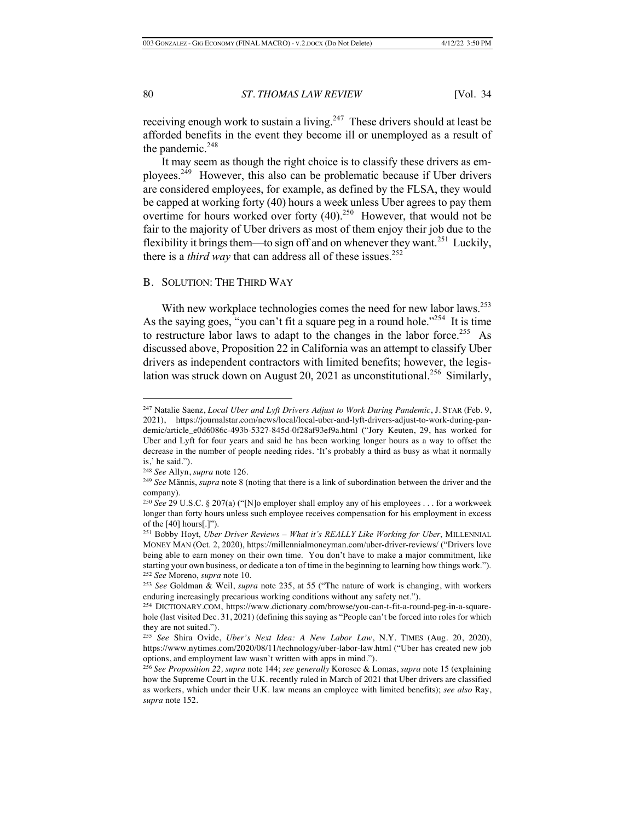receiving enough work to sustain a living.<sup>247</sup> These drivers should at least be afforded benefits in the event they become ill or unemployed as a result of the pandemic. $248$ 

It may seem as though the right choice is to classify these drivers as employees.<sup> $249$ </sup> However, this also can be problematic because if Uber drivers are considered employees, for example, as defined by the FLSA, they would be capped at working forty (40) hours a week unless Uber agrees to pay them overtime for hours worked over forty  $(40)^{250}$  However, that would not be fair to the majority of Uber drivers as most of them enjoy their job due to the flexibility it brings them—to sign off and on whenever they want.<sup>251</sup> Luckily, there is a *third way* that can address all of these issues.<sup>252</sup>

## B. SOLUTION: THE THIRD WAY

With new workplace technologies comes the need for new labor laws.<sup>253</sup> As the saying goes, "you can't fit a square peg in a round hole."<sup>254</sup> It is time to restructure labor laws to adapt to the changes in the labor force.<sup>255</sup> As discussed above, Proposition 22 in California was an attempt to classify Uber drivers as independent contractors with limited benefits; however, the legislation was struck down on August 20, 2021 as unconstitutional.<sup>256</sup> Similarly,

<sup>247</sup> Natalie Saenz, *Local Uber and Lyft Drivers Adjust to Work During Pandemic*, J. STAR (Feb. 9, 2021), https://journalstar.com/news/local/local-uber-and-lyft-drivers-adjust-to-work-during-pandemic/article\_e0d6086c-493b-5327-845d-0f28af93ef9a.html ("Jory Keuten, 29, has worked for Uber and Lyft for four years and said he has been working longer hours as a way to offset the decrease in the number of people needing rides. 'It's probably a third as busy as what it normally is,' he said.").

<sup>248</sup> *See* Allyn, *supra* note 126.

<sup>249</sup> *See* Männis, *supra* note 8 (noting that there is a link of subordination between the driver and the company).

<sup>250</sup> *See* 29 U.S.C. § 207(a) ("[N]o employer shall employ any of his employees . . . for a workweek longer than forty hours unless such employee receives compensation for his employment in excess of the [40] hours[.]").

<sup>251</sup> Bobby Hoyt, *Uber Driver Reviews – What it's REALLY Like Working for Uber*, MILLENNIAL MONEY MAN (Oct. 2, 2020), https://millennialmoneyman.com/uber-driver-reviews/ ("Drivers love being able to earn money on their own time. You don't have to make a major commitment, like starting your own business, or dedicate a ton of time in the beginning to learning how things work."). <sup>252</sup> *See* Moreno, *supra* note 10.

<sup>253</sup> *See* Goldman & Weil, *supra* note 235, at 55 ("The nature of work is changing, with workers enduring increasingly precarious working conditions without any safety net.").

<sup>254</sup> DICTIONARY.COM, https://www.dictionary.com/browse/you-can-t-fit-a-round-peg-in-a-squarehole (last visited Dec. 31, 2021) (defining this saying as "People can't be forced into roles for which they are not suited.").

<sup>255</sup> *See* Shira Ovide, *Uber's Next Idea: A New Labor Law*, N.Y. TIMES (Aug. 20, 2020), https://www.nytimes.com/2020/08/11/technology/uber-labor-law.html ("Uber has created new job options, and employment law wasn't written with apps in mind.").

<sup>256</sup> *See Proposition 22, supra* note 144; *see generally* Korosec & Lomas, *supra* note 15 (explaining how the Supreme Court in the U.K. recently ruled in March of 2021 that Uber drivers are classified as workers, which under their U.K. law means an employee with limited benefits); *see also* Ray, *supra* note 152.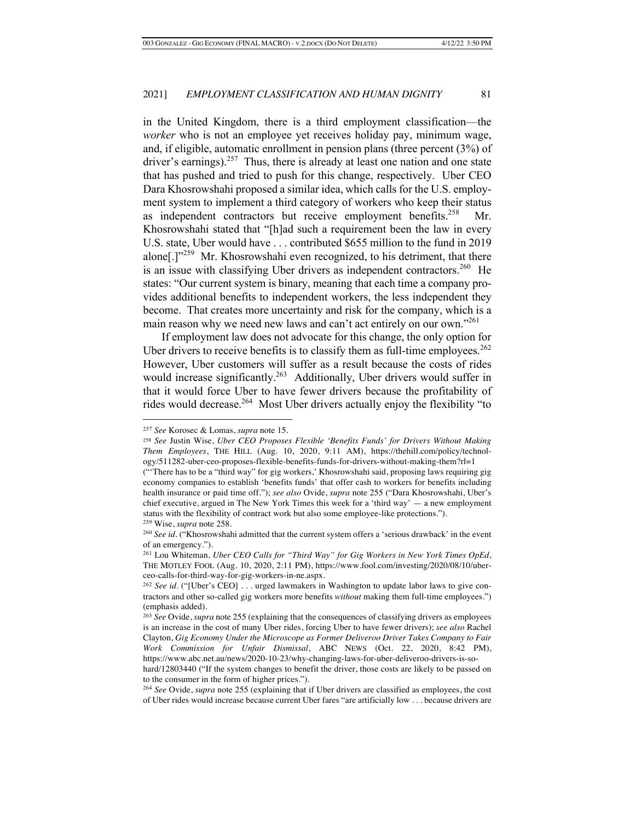in the United Kingdom, there is a third employment classification—the *worker* who is not an employee yet receives holiday pay, minimum wage, and, if eligible, automatic enrollment in pension plans (three percent (3%) of driver's earnings).<sup>257</sup> Thus, there is already at least one nation and one state that has pushed and tried to push for this change, respectively. Uber CEO Dara Khosrowshahi proposed a similar idea, which calls for the U.S. employment system to implement a third category of workers who keep their status as independent contractors but receive employment benefits. $258$ Khosrowshahi stated that "[h]ad such a requirement been the law in every U.S. state, Uber would have . . . contributed \$655 million to the fund in 2019 alone[.]"<sup>259</sup> Mr. Khosrowshahi even recognized, to his detriment, that there is an issue with classifying Uber drivers as independent contractors.<sup>260</sup> He states: "Our current system is binary, meaning that each time a company provides additional benefits to independent workers, the less independent they become. That creates more uncertainty and risk for the company, which is a main reason why we need new laws and can't act entirely on our own."<sup>261</sup>

If employment law does not advocate for this change, the only option for Uber drivers to receive benefits is to classify them as full-time employees.<sup>262</sup> However, Uber customers will suffer as a result because the costs of rides would increase significantly.<sup>263</sup> Additionally, Uber drivers would suffer in that it would force Uber to have fewer drivers because the profitability of rides would decrease.<sup>264</sup> Most Uber drivers actually enjoy the flexibility "to

<sup>257</sup> *See* Korosec & Lomas, *supra* note 15.

<sup>258</sup> *See* Justin Wise, *Uber CEO Proposes Flexible 'Benefits Funds' for Drivers Without Making Them Employees*, THE HILL (Aug. 10, 2020, 9:11 AM), https://thehill.com/policy/technology/511282-uber-ceo-proposes-flexible-benefits-funds-for-drivers-without-making-them?rl=1

<sup>(&</sup>quot;'There has to be a "third way" for gig workers,' Khosrowshahi said, proposing laws requiring gig economy companies to establish 'benefits funds' that offer cash to workers for benefits including health insurance or paid time off."); *see also* Ovide, *supra* note 255 ("Dara Khosrowshahi, Uber's chief executive, argued in The New York Times this week for a 'third way' — a new employment status with the flexibility of contract work but also some employee-like protections."). <sup>259</sup> Wise, *supra* note 258.

<sup>260</sup> *See id.* ("Khosrowshahi admitted that the current system offers a 'serious drawback' in the event of an emergency.").

<sup>261</sup> Lou Whiteman, *Uber CEO Calls for "Third Way" for Gig Workers in New York Times OpEd*, THE MOTLEY FOOL (Aug. 10, 2020, 2:11 PM), https://www.fool.com/investing/2020/08/10/uberceo-calls-for-third-way-for-gig-workers-in-ne.aspx.

<sup>&</sup>lt;sup>262</sup> *See id.* ("[Uber's CEO] . . . urged lawmakers in Washington to update labor laws to give contractors and other so-called gig workers more benefits *without* making them full-time employees.") (emphasis added).

<sup>263</sup> *See* Ovide, *supra* note 255 (explaining that the consequences of classifying drivers as employees is an increase in the cost of many Uber rides, forcing Uber to have fewer drivers); *see also* Rachel Clayton, *Gig Economy Under the Microscope as Former Deliveroo Driver Takes Company to Fair Work Commission for Unfair Dismissal*, ABC NEWS (Oct. 22, 2020, 8:42 PM), https://www.abc.net.au/news/2020-10-23/why-changing-laws-for-uber-deliveroo-drivers-is-so-

hard/12803440 ("If the system changes to benefit the driver, those costs are likely to be passed on to the consumer in the form of higher prices.").

<sup>264</sup> *See* Ovide, *supra* note 255 (explaining that if Uber drivers are classified as employees, the cost of Uber rides would increase because current Uber fares "are artificially low . . . because drivers are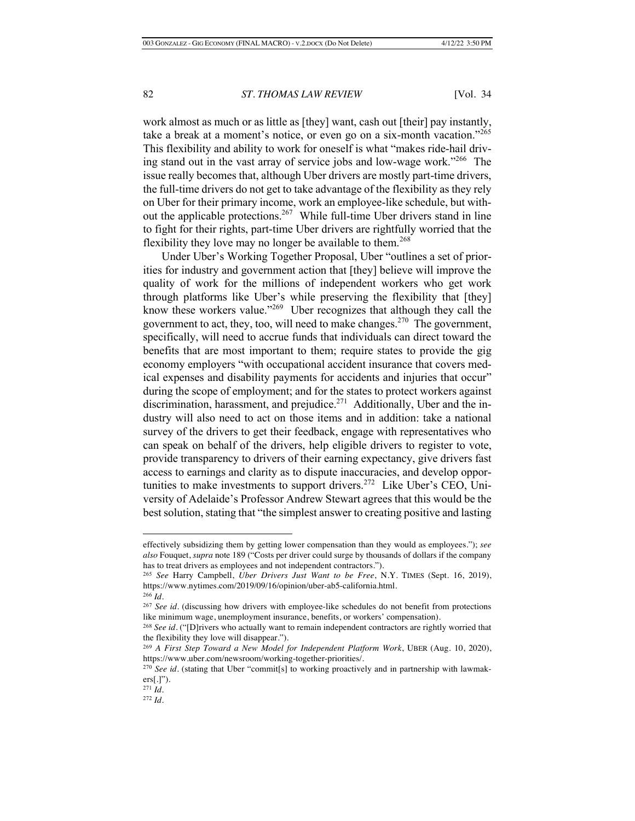work almost as much or as little as [they] want, cash out [their] pay instantly, take a break at a moment's notice, or even go on a six-month vacation."<sup>265</sup> This flexibility and ability to work for oneself is what "makes ride-hail driving stand out in the vast array of service jobs and low-wage work."<sup>266</sup> The issue really becomes that, although Uber drivers are mostly part-time drivers, the full-time drivers do not get to take advantage of the flexibility as they rely on Uber for their primary income, work an employee-like schedule, but without the applicable protections.<sup>267</sup> While full-time Uber drivers stand in line to fight for their rights, part-time Uber drivers are rightfully worried that the flexibility they love may no longer be available to them.<sup>268</sup>

Under Uber's Working Together Proposal, Uber "outlines a set of priorities for industry and government action that [they] believe will improve the quality of work for the millions of independent workers who get work through platforms like Uber's while preserving the flexibility that [they] know these workers value."<sup>269</sup> Uber recognizes that although they call the government to act, they, too, will need to make changes.<sup>270</sup> The government, specifically, will need to accrue funds that individuals can direct toward the benefits that are most important to them; require states to provide the gig economy employers "with occupational accident insurance that covers medical expenses and disability payments for accidents and injuries that occur" during the scope of employment; and for the states to protect workers against discrimination, harassment, and prejudice.<sup>271</sup> Additionally, Uber and the industry will also need to act on those items and in addition: take a national survey of the drivers to get their feedback, engage with representatives who can speak on behalf of the drivers, help eligible drivers to register to vote, provide transparency to drivers of their earning expectancy, give drivers fast access to earnings and clarity as to dispute inaccuracies, and develop opportunities to make investments to support drivers.<sup>272</sup> Like Uber's CEO, University of Adelaide's Professor Andrew Stewart agrees that this would be the best solution, stating that "the simplest answer to creating positive and lasting

effectively subsidizing them by getting lower compensation than they would as employees."); *see also* Fouquet, *supra* note 189 ("Costs per driver could surge by thousands of dollars if the company has to treat drivers as employees and not independent contractors.").

<sup>265</sup> *See* Harry Campbell, *Uber Drivers Just Want to be Free*, N.Y. TIMES (Sept. 16, 2019), https://www.nytimes.com/2019/09/16/opinion/uber-ab5-california.html. <sup>266</sup> *Id.*

<sup>267</sup> *See id.* (discussing how drivers with employee-like schedules do not benefit from protections like minimum wage, unemployment insurance, benefits, or workers' compensation).

<sup>268</sup> *See id.* ("[D]rivers who actually want to remain independent contractors are rightly worried that the flexibility they love will disappear.").

<sup>269</sup> *A First Step Toward a New Model for Independent Platform Work*, UBER (Aug. 10, 2020), https://www.uber.com/newsroom/working-together-priorities/.

<sup>&</sup>lt;sup>270</sup> See id. (stating that Uber "commit[s] to working proactively and in partnership with lawmak $ers[.]$ ").

<sup>271</sup> *Id.* 

<sup>272</sup> *Id.*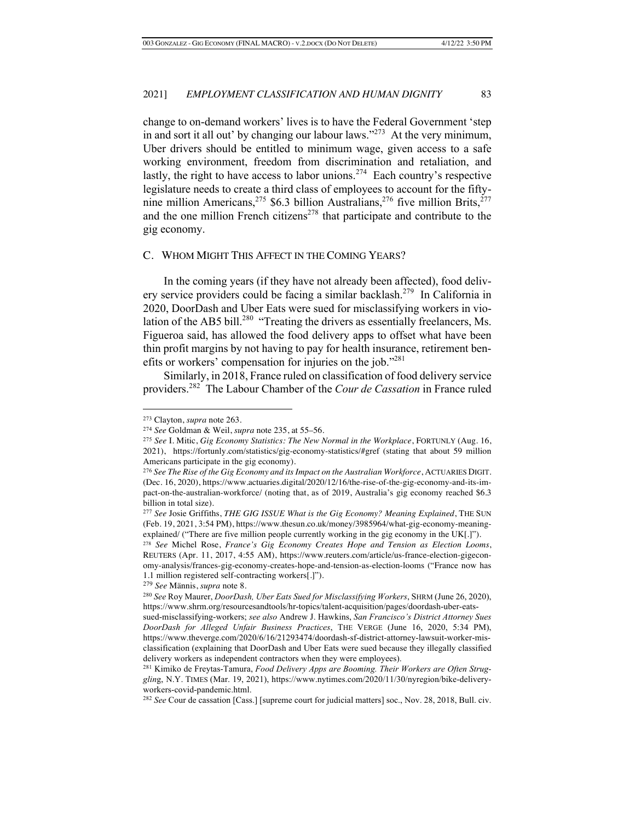change to on-demand workers' lives is to have the Federal Government 'step in and sort it all out' by changing our labour laws." $273$  At the very minimum, Uber drivers should be entitled to minimum wage, given access to a safe working environment, freedom from discrimination and retaliation, and lastly, the right to have access to labor unions.<sup>274</sup> Each country's respective legislature needs to create a third class of employees to account for the fiftynine million Americans,<sup>275</sup> \$6.3 billion Australians,<sup>276</sup> five million Brits,<sup>277</sup> and the one million French citizens<sup> $278$ </sup> that participate and contribute to the gig economy.

## C. WHOM MIGHT THIS AFFECT IN THE COMING YEARS?

In the coming years (if they have not already been affected), food delivery service providers could be facing a similar backlash.<sup>279</sup> In California in 2020, DoorDash and Uber Eats were sued for misclassifying workers in violation of the AB5 bill.<sup>280</sup> "Treating the drivers as essentially freelancers, Ms. Figueroa said, has allowed the food delivery apps to offset what have been thin profit margins by not having to pay for health insurance, retirement benefits or workers' compensation for injuries on the job."<sup>281</sup>

Similarly, in 2018, France ruled on classification of food delivery service providers. 282 The Labour Chamber of the *Cour de Cassation* in France ruled

<sup>273</sup> Clayton, *supra* note 263.

<sup>274</sup> *See* Goldman & Weil, *supra* note 235, at 55–56.

<sup>275</sup> *See* I. Mitic, *Gig Economy Statistics: The New Normal in the Workplace*, FORTUNLY (Aug. 16, 2021), https://fortunly.com/statistics/gig-economy-statistics/#gref (stating that about 59 million Americans participate in the gig economy).

<sup>276</sup> *See The Rise of the Gig Economy and its Impact on the Australian Workforce*, ACTUARIES DIGIT. (Dec. 16, 2020), https://www.actuaries.digital/2020/12/16/the-rise-of-the-gig-economy-and-its-impact-on-the-australian-workforce/ (noting that, as of 2019, Australia's gig economy reached \$6.3 billion in total size).

<sup>277</sup> *See* Josie Griffiths, *THE GIG ISSUE What is the Gig Economy? Meaning Explained*, THE SUN (Feb. 19, 2021, 3:54 PM), https://www.thesun.co.uk/money/3985964/what-gig-economy-meaningexplained/ ("There are five million people currently working in the gig economy in the UK[.]").

<sup>278</sup> *See* Michel Rose, *France's Gig Economy Creates Hope and Tension as Election Looms*, REUTERS (Apr. 11, 2017, 4:55 AM), https://www.reuters.com/article/us-france-election-gigeconomy-analysis/frances-gig-economy-creates-hope-and-tension-as-election-looms ("France now has 1.1 million registered self-contracting workers[.]").

<sup>279</sup> *See* Männis, *supra* note 8.

<sup>280</sup> *See* Roy Maurer, *DoorDash, Uber Eats Sued for Misclassifying Workers*, SHRM (June 26, 2020), https://www.shrm.org/resourcesandtools/hr-topics/talent-acquisition/pages/doordash-uber-eats-

sued-misclassifying-workers; *see also* Andrew J. Hawkins, *San Francisco's District Attorney Sues DoorDash for Alleged Unfair Business Practices*, THE VERGE (June 16, 2020, 5:34 PM), https://www.theverge.com/2020/6/16/21293474/doordash-sf-district-attorney-lawsuit-worker-misclassification (explaining that DoorDash and Uber Eats were sued because they illegally classified delivery workers as independent contractors when they were employees).

<sup>281</sup> Kimiko de Freytas-Tamura, *Food Delivery Apps are Booming. Their Workers are Often Strugglin*g, N.Y. TIMES (Mar. 19, 2021), https://www.nytimes.com/2020/11/30/nyregion/bike-deliveryworkers-covid-pandemic.html.

<sup>282</sup> *See* Cour de cassation [Cass.] [supreme court for judicial matters] soc., Nov. 28, 2018, Bull. civ.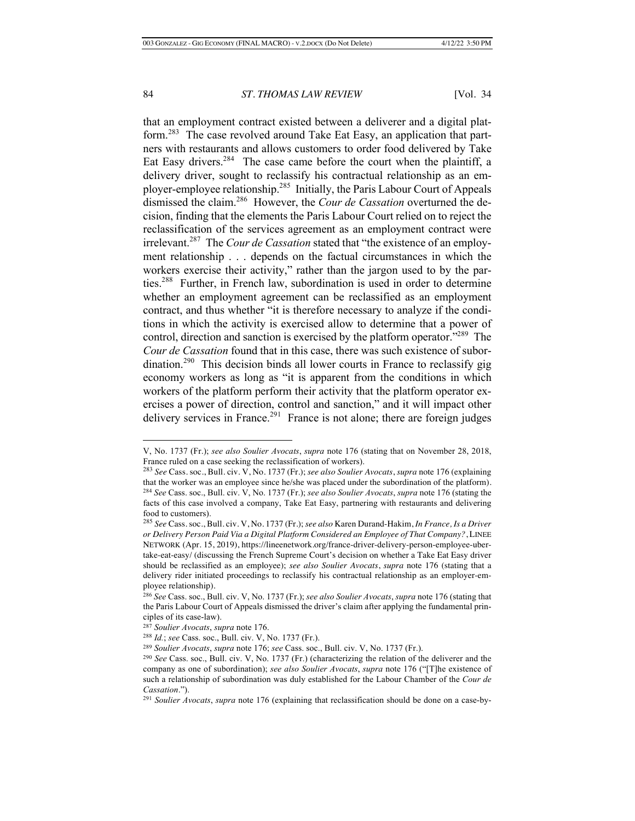that an employment contract existed between a deliverer and a digital platform.<sup>283</sup> The case revolved around Take Eat Easy, an application that partners with restaurants and allows customers to order food delivered by Take Eat Easy drivers.<sup>284</sup> The case came before the court when the plaintiff, a delivery driver, sought to reclassify his contractual relationship as an employer-employee relationship.285 Initially, the Paris Labour Court of Appeals dismissed the claim.286 However, the *Cour de Cassation* overturned the decision, finding that the elements the Paris Labour Court relied on to reject the reclassification of the services agreement as an employment contract were irrelevant.287 The *Cour de Cassation* stated that "the existence of an employment relationship . . . depends on the factual circumstances in which the workers exercise their activity," rather than the jargon used to by the parties.<sup>288</sup> Further, in French law, subordination is used in order to determine whether an employment agreement can be reclassified as an employment contract, and thus whether "it is therefore necessary to analyze if the conditions in which the activity is exercised allow to determine that a power of control, direction and sanction is exercised by the platform operator."289 The *Cour de Cassation* found that in this case, there was such existence of subordination.<sup>290</sup> This decision binds all lower courts in France to reclassify gig economy workers as long as "it is apparent from the conditions in which workers of the platform perform their activity that the platform operator exercises a power of direction, control and sanction," and it will impact other delivery services in France.<sup>291</sup> France is not alone; there are foreign judges

V, No. 1737 (Fr.); *see also Soulier Avocats*, *supra* note 176 (stating that on November 28, 2018, France ruled on a case seeking the reclassification of workers).

<sup>283</sup> *See* Cass. soc., Bull. civ. V, No. 1737 (Fr.); *see also Soulier Avocats*, *supra* note 176 (explaining that the worker was an employee since he/she was placed under the subordination of the platform). <sup>284</sup> *See* Cass. soc., Bull. civ. V, No. 1737 (Fr.); *see also Soulier Avocats*, *supra* note 176 (stating the facts of this case involved a company, Take Eat Easy, partnering with restaurants and delivering food to customers).

<sup>285</sup> *See* Cass. soc., Bull. civ. V, No. 1737 (Fr.); *see also* Karen Durand-Hakim, *In France, Is a Driver or Delivery Person Paid Via a Digital Platform Considered an Employee of That Company?*, LINEE NETWORK (Apr. 15, 2019), https://lineenetwork.org/france-driver-delivery-person-employee-ubertake-eat-easy/ (discussing the French Supreme Court's decision on whether a Take Eat Easy driver should be reclassified as an employee); *see also Soulier Avocats*, *supra* note 176 (stating that a delivery rider initiated proceedings to reclassify his contractual relationship as an employer-employee relationship).

<sup>286</sup> *See* Cass. soc., Bull. civ. V, No. 1737 (Fr.); *see also Soulier Avocats*, *supra* note 176 (stating that the Paris Labour Court of Appeals dismissed the driver's claim after applying the fundamental principles of its case-law).

<sup>&</sup>lt;sup>287</sup> *Soulier Avocats, supra* note 176.<br><sup>288</sup> *Id.; see* Cass. soc., Bull. civ. V, No. 1737 (Fr.).

<sup>&</sup>lt;sup>289</sup> Soulier Avocats, supra note 176; see Cass. soc., Bull. civ. V, No. 1737 (Fr.).<br><sup>290</sup> See Cass. soc., Bull. civ. V, No. 1737 (Fr.) (characterizing the relation of the deliverer and the company as one of subordination); *see also Soulier Avocats*, *supra* note 176 ("[T]he existence of such a relationship of subordination was duly established for the Labour Chamber of the *Cour de Cassation."*).<br><sup>291</sup> *Soulier Avocats, supra* note 176 (explaining that reclassification should be done on a case-by-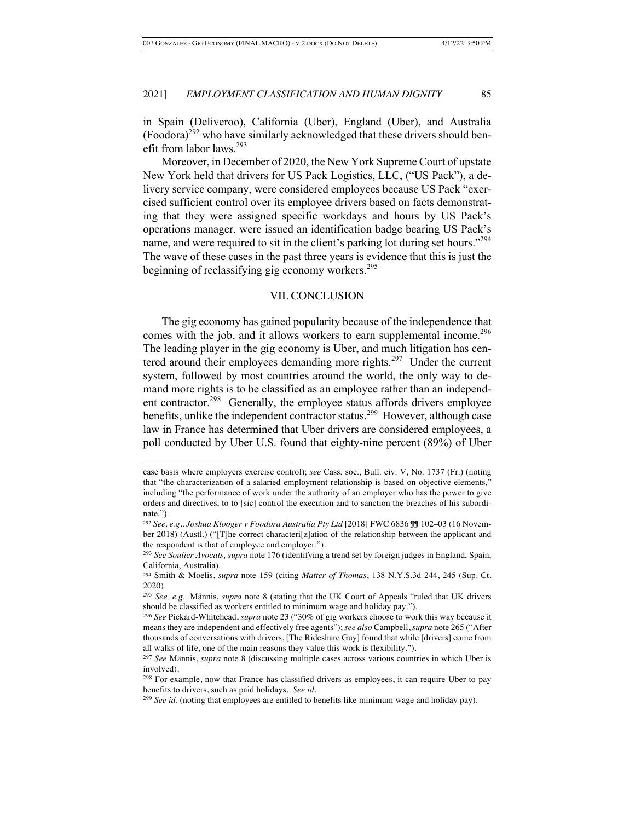in Spain (Deliveroo), California (Uber), England (Uber), and Australia  $(Foodora)^{292}$  who have similarly acknowledged that these drivers should benefit from labor laws.<sup>293</sup>

Moreover, in December of 2020, the New York Supreme Court of upstate New York held that drivers for US Pack Logistics, LLC, ("US Pack"), a delivery service company, were considered employees because US Pack "exercised sufficient control over its employee drivers based on facts demonstrating that they were assigned specific workdays and hours by US Pack's operations manager, were issued an identification badge bearing US Pack's name, and were required to sit in the client's parking lot during set hours."<sup>294</sup> The wave of these cases in the past three years is evidence that this is just the beginning of reclassifying gig economy workers.<sup>295</sup>

## VII. CONCLUSION

The gig economy has gained popularity because of the independence that comes with the job, and it allows workers to earn supplemental income.<sup>296</sup> The leading player in the gig economy is Uber, and much litigation has centered around their employees demanding more rights.<sup>297</sup> Under the current system, followed by most countries around the world, the only way to demand more rights is to be classified as an employee rather than an independent contractor.<sup>298</sup> Generally, the employee status affords drivers employee benefits, unlike the independent contractor status.<sup>299</sup> However, although case law in France has determined that Uber drivers are considered employees, a poll conducted by Uber U.S. found that eighty-nine percent (89%) of Uber

case basis where employers exercise control); *see* Cass. soc., Bull. civ. V, No. 1737 (Fr.) (noting that "the characterization of a salaried employment relationship is based on objective elements," including "the performance of work under the authority of an employer who has the power to give orders and directives, to to [sic] control the execution and to sanction the breaches of his subordinate.").

<sup>292</sup> *See, e.g., Joshua Klooger v Foodora Australia Pty Ltd* [2018] FWC 6836 ¶¶ 102–03 (16 November 2018) (Austl.) ("[T]he correct characteri[z]ation of the relationship between the applicant and the respondent is that of employee and employer.").

<sup>293</sup> *See Soulier Avocats*, *supra* note 176 (identifying a trend set by foreign judges in England, Spain, California, Australia).

<sup>294</sup> Smith & Moelis, *supra* note 159 (citing *Matter of Thomas*, 138 N.Y.S.3d 244, 245 (Sup. Ct. 2020).

<sup>295</sup> *See, e.g.,* Männis, *supra* note 8 (stating that the UK Court of Appeals "ruled that UK drivers should be classified as workers entitled to minimum wage and holiday pay."). 296 *See* Pickard-Whitehead, *supra* note 23 ("30% of gig workers choose to work this way because it

means they are independent and effectively free agents"); *see also* Campbell, *supra* note 265 ("After thousands of conversations with drivers, [The Rideshare Guy] found that while [drivers] come from all walks of life, one of the main reasons they value this work is flexibility.").

<sup>297</sup> *See* Männis, *supra* note 8 (discussing multiple cases across various countries in which Uber is involved).

<sup>&</sup>lt;sup>298</sup> For example, now that France has classified drivers as employees, it can require Uber to pay benefits to drivers, such as paid holidays. *See id.*

<sup>299</sup> *See id.* (noting that employees are entitled to benefits like minimum wage and holiday pay).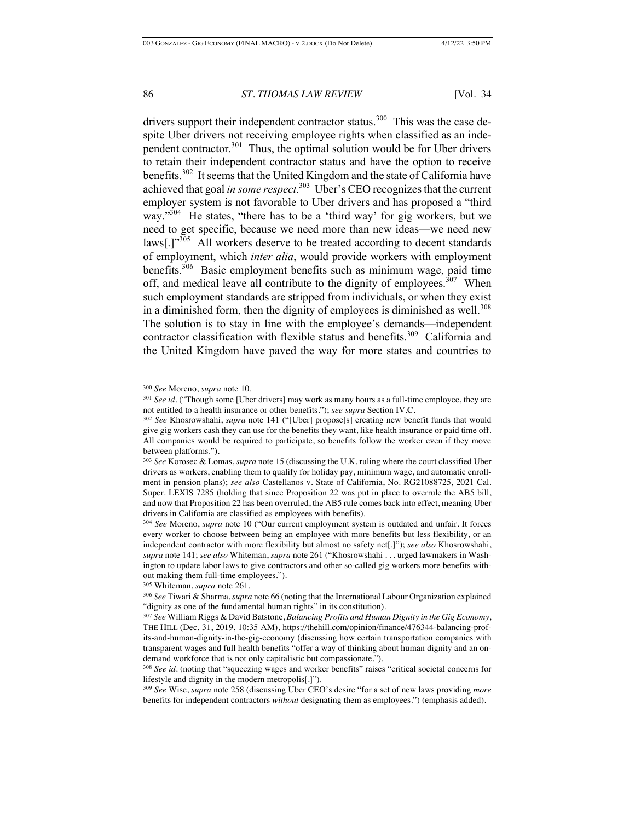drivers support their independent contractor status.<sup>300</sup> This was the case despite Uber drivers not receiving employee rights when classified as an independent contractor.<sup>301</sup> Thus, the optimal solution would be for Uber drivers to retain their independent contractor status and have the option to receive benefits.302 It seems that the United Kingdom and the state of California have achieved that goal *in some respect*. 303 Uber's CEO recognizes that the current employer system is not favorable to Uber drivers and has proposed a "third way."<sup>304</sup> He states, "there has to be a 'third way' for gig workers, but we need to get specific, because we need more than new ideas—we need new laws<sup>[1,305</sup>] All workers deserve to be treated according to decent standards of employment, which *inter alia*, would provide workers with employment benefits.306 Basic employment benefits such as minimum wage, paid time off, and medical leave all contribute to the dignity of employees.<sup>307</sup> When such employment standards are stripped from individuals, or when they exist in a diminished form, then the dignity of employees is diminished as well.<sup>308</sup> The solution is to stay in line with the employee's demands—independent contractor classification with flexible status and benefits.<sup>309</sup> California and the United Kingdom have paved the way for more states and countries to

<sup>300</sup> *See* Moreno, *supra* note 10.

<sup>301</sup> *See id.* ("Though some [Uber drivers] may work as many hours as a full-time employee, they are not entitled to a health insurance or other benefits."); *see supra* Section IV.C.

<sup>302</sup> *See* Khosrowshahi, *supra* note 141 ("[Uber] propose[s] creating new benefit funds that would give gig workers cash they can use for the benefits they want, like health insurance or paid time off. All companies would be required to participate, so benefits follow the worker even if they move between platforms.").

<sup>303</sup> *See* Korosec & Lomas, *supra* note 15 (discussing the U.K. ruling where the court classified Uber drivers as workers, enabling them to qualify for holiday pay, minimum wage, and automatic enrollment in pension plans); *see also* Castellanos v. State of California, No. RG21088725, 2021 Cal. Super. LEXIS 7285 (holding that since Proposition 22 was put in place to overrule the AB5 bill, and now that Proposition 22 has been overruled, the AB5 rule comes back into effect, meaning Uber drivers in California are classified as employees with benefits).

<sup>304</sup> *See* Moreno, *supra* note 10 ("Our current employment system is outdated and unfair. It forces every worker to choose between being an employee with more benefits but less flexibility, or an independent contractor with more flexibility but almost no safety net[.]"); *see also* Khosrowshahi, *supra* note 141; *see also* Whiteman, *supra* note 261 ("Khosrowshahi . . . urged lawmakers in Washington to update labor laws to give contractors and other so-called gig workers more benefits without making them full-time employees.").

<sup>305</sup> Whiteman, *supra* note 261.

<sup>306</sup> *See* Tiwari & Sharma, *supra* note 66 (noting that the International Labour Organization explained "dignity as one of the fundamental human rights" in its constitution).

<sup>307</sup> *See* William Riggs & David Batstone, *Balancing Profits and Human Dignity in the Gig Economy*, THE HILL (Dec. 31, 2019, 10:35 AM), https://thehill.com/opinion/finance/476344-balancing-profits-and-human-dignity-in-the-gig-economy (discussing how certain transportation companies with transparent wages and full health benefits "offer a way of thinking about human dignity and an ondemand workforce that is not only capitalistic but compassionate.").

<sup>308</sup> *See id.* (noting that "squeezing wages and worker benefits" raises "critical societal concerns for lifestyle and dignity in the modern metropolis[.]").

<sup>309</sup> *See* Wise, *supra* note 258 (discussing Uber CEO's desire "for a set of new laws providing *more* benefits for independent contractors *without* designating them as employees.") (emphasis added).